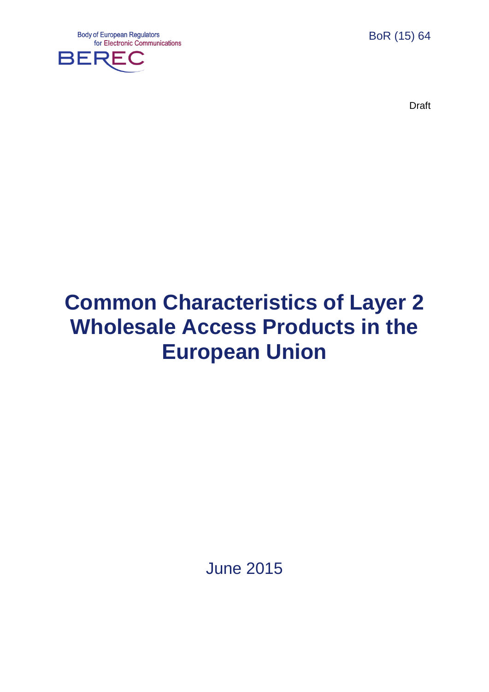

BoR (15) 64

Draft

# **Common Characteristics of Layer 2 Wholesale Access Products in the European Union**

June 2015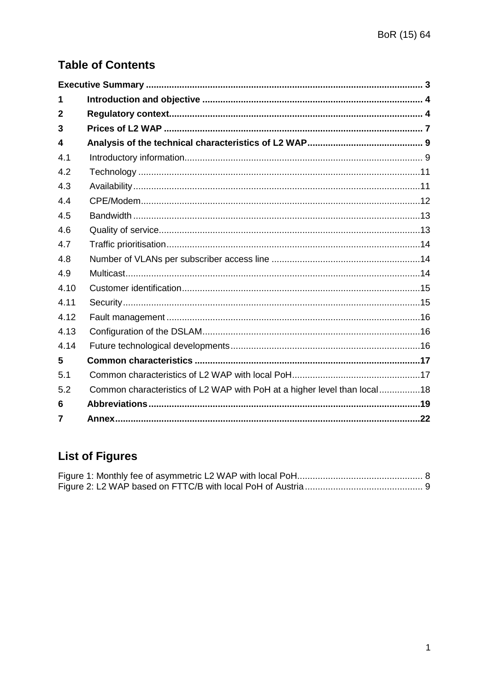## **Table of Contents**

| 1    |                                                                          |
|------|--------------------------------------------------------------------------|
| 2    |                                                                          |
| 3    |                                                                          |
| 4    |                                                                          |
| 4.1  |                                                                          |
| 4.2  |                                                                          |
| 4.3  |                                                                          |
| 4.4  |                                                                          |
| 4.5  |                                                                          |
| 4.6  |                                                                          |
| 4.7  |                                                                          |
| 4.8  |                                                                          |
| 4.9  |                                                                          |
| 4.10 |                                                                          |
| 4.11 |                                                                          |
| 4.12 |                                                                          |
| 4.13 |                                                                          |
| 4.14 |                                                                          |
| 5    |                                                                          |
| 5.1  |                                                                          |
| 5.2  | Common characteristics of L2 WAP with PoH at a higher level than local18 |
| 6    |                                                                          |
| 7    |                                                                          |

## **List of Figures**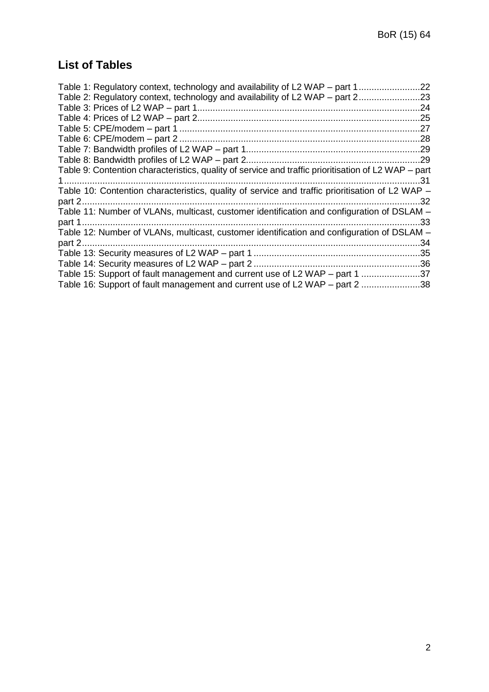## **List of Tables**

| Table 1: Regulatory context, technology and availability of L2 WAP – part 1                         | 22   |
|-----------------------------------------------------------------------------------------------------|------|
| Table 2: Regulatory context, technology and availability of L2 WAP – part 2                         | .23  |
|                                                                                                     | .24  |
|                                                                                                     | .25  |
|                                                                                                     | .27  |
|                                                                                                     |      |
|                                                                                                     | . 29 |
|                                                                                                     |      |
| Table 9: Contention characteristics, quality of service and traffic prioritisation of L2 WAP - part |      |
|                                                                                                     | .31  |
| Table 10: Contention characteristics, quality of service and traffic prioritisation of L2 WAP –     |      |
| part 2.                                                                                             | .32  |
| Table 11: Number of VLANs, multicast, customer identification and configuration of DSLAM -          |      |
| part 1                                                                                              | .33  |
| Table 12: Number of VLANs, multicast, customer identification and configuration of DSLAM -          |      |
| part 2                                                                                              | .34  |
|                                                                                                     | 35   |
|                                                                                                     | . 36 |
| Table 15: Support of fault management and current use of L2 WAP – part 1 37                         |      |
| Table 16: Support of fault management and current use of L2 WAP – part 2 38                         |      |
|                                                                                                     |      |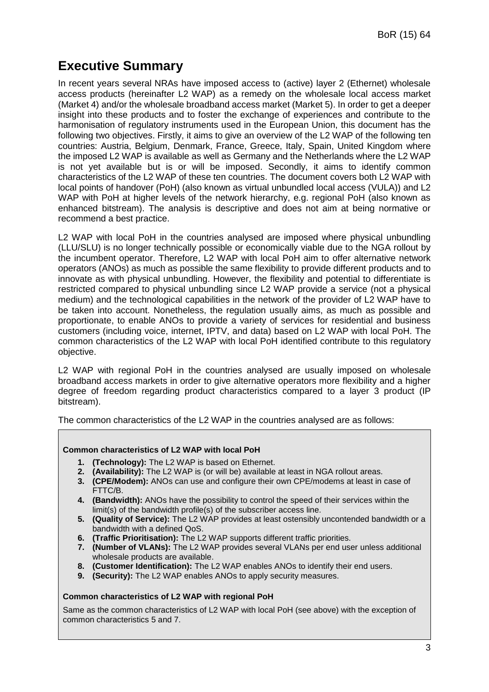## <span id="page-3-0"></span>**Executive Summary**

In recent years several NRAs have imposed access to (active) layer 2 (Ethernet) wholesale access products (hereinafter L2 WAP) as a remedy on the wholesale local access market (Market 4) and/or the wholesale broadband access market (Market 5). In order to get a deeper insight into these products and to foster the exchange of experiences and contribute to the harmonisation of regulatory instruments used in the European Union, this document has the following two objectives. Firstly, it aims to give an overview of the L2 WAP of the following ten countries: Austria, Belgium, Denmark, France, Greece, Italy, Spain, United Kingdom where the imposed L2 WAP is available as well as Germany and the Netherlands where the L2 WAP is not yet available but is or will be imposed. Secondly, it aims to identify common characteristics of the L2 WAP of these ten countries. The document covers both L2 WAP with local points of handover (PoH) (also known as virtual unbundled local access (VULA)) and L2 WAP with PoH at higher levels of the network hierarchy, e.g. regional PoH (also known as enhanced bitstream). The analysis is descriptive and does not aim at being normative or recommend a best practice.

L<sub>2</sub> WAP with local PoH in the countries analysed are imposed where physical unbundling (LLU/SLU) is no longer technically possible or economically viable due to the NGA rollout by the incumbent operator. Therefore, L2 WAP with local PoH aim to offer alternative network operators (ANOs) as much as possible the same flexibility to provide different products and to innovate as with physical unbundling. However, the flexibility and potential to differentiate is restricted compared to physical unbundling since L2 WAP provide a service (not a physical medium) and the technological capabilities in the network of the provider of L2 WAP have to be taken into account. Nonetheless, the regulation usually aims, as much as possible and proportionate, to enable ANOs to provide a variety of services for residential and business customers (including voice, internet, IPTV, and data) based on L2 WAP with local PoH. The common characteristics of the L2 WAP with local PoH identified contribute to this regulatory objective.

L2 WAP with regional PoH in the countries analysed are usually imposed on wholesale broadband access markets in order to give alternative operators more flexibility and a higher degree of freedom regarding product characteristics compared to a layer 3 product (IP bitstream).

The common characteristics of the L2 WAP in the countries analysed are as follows:

#### **Common characteristics of L2 WAP with local PoH**

- **1. (Technology):** The L2 WAP is based on Ethernet.
- **2. (Availability):** The L2 WAP is (or will be) available at least in NGA rollout areas.
- **3. (CPE/Modem):** ANOs can use and configure their own CPE/modems at least in case of FTTC/B.
- **4. (Bandwidth):** ANOs have the possibility to control the speed of their services within the limit(s) of the bandwidth profile(s) of the subscriber access line.
- **5. (Quality of Service):** The L2 WAP provides at least ostensibly uncontended bandwidth or a bandwidth with a defined QoS.
- **6. (Traffic Prioritisation):** The L2 WAP supports different traffic priorities.
- **7. (Number of VLANs):** The L2 WAP provides several VLANs per end user unless additional wholesale products are available.
- **8. (Customer Identification):** The L2 WAP enables ANOs to identify their end users.
- **9. (Security):** The L2 WAP enables ANOs to apply security measures.

#### **Common characteristics of L2 WAP with regional PoH**

Same as the common characteristics of L2 WAP with local PoH (see above) with the exception of common characteristics 5 and 7.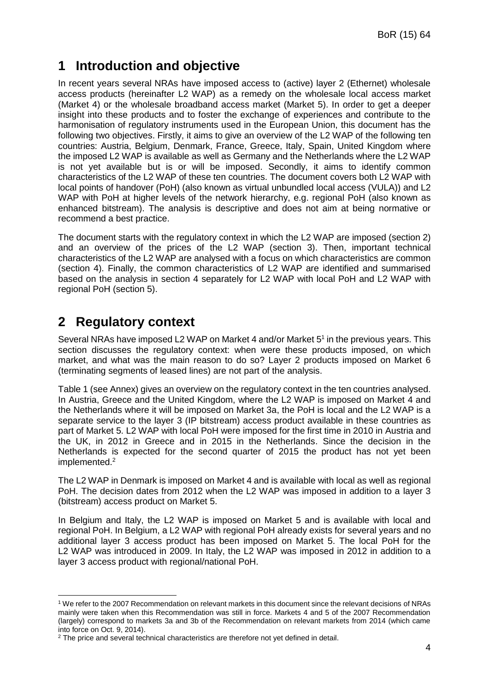## <span id="page-4-0"></span>**1 Introduction and objective**

<span id="page-4-2"></span>In recent years several NRAs have imposed access to (active) layer 2 (Ethernet) wholesale access products (hereinafter L2 WAP) as a remedy on the wholesale local access market (Market 4) or the wholesale broadband access market (Market 5). In order to get a deeper insight into these products and to foster the exchange of experiences and contribute to the harmonisation of regulatory instruments used in the European Union, this document has the following two objectives. Firstly, it aims to give an overview of the L2 WAP of the following ten countries: Austria, Belgium, Denmark, France, Greece, Italy, Spain, United Kingdom where the imposed L2 WAP is available as well as Germany and the Netherlands where the L2 WAP is not yet available but is or will be imposed. Secondly, it aims to identify common characteristics of the L2 WAP of these ten countries. The document covers both L2 WAP with local points of handover (PoH) (also known as virtual unbundled local access (VULA)) and L2 WAP with PoH at higher levels of the network hierarchy, e.g. regional PoH (also known as enhanced bitstream). The analysis is descriptive and does not aim at being normative or recommend a best practice.

The document starts with the regulatory context in which the L2 WAP are imposed (section [2\)](#page-4-1) and an overview of the prices of the L2 WAP (section [3\)](#page-7-0). Then, important technical characteristics of the L2 WAP are analysed with a focus on which characteristics are common (section [4\)](#page-9-0). Finally, the common characteristics of L2 WAP are identified and summarised based on the analysis in section [4](#page-9-0) separately for L2 WAP with local PoH and L2 WAP with regional PoH (section [5\)](#page-17-0).

## <span id="page-4-1"></span>**2 Regulatory context**

-

Several NRAs have imposed L2 WAP on Market 4 and/or Market 5<sup>1</sup> in the previous years. This section discusses the regulatory context: when were these products imposed, on which market, and what was the main reason to do so? Layer 2 products imposed on Market 6 (terminating segments of leased lines) are not part of the analysis.

[Table 1](#page-22-1) (see Annex) gives an overview on the regulatory context in the ten countries analysed. In Austria, Greece and the United Kingdom, where the L2 WAP is imposed on Market 4 and the Netherlands where it will be imposed on Market 3a, the PoH is local and the L2 WAP is a separate service to the layer 3 (IP bitstream) access product available in these countries as part of Market 5. L2 WAP with local PoH were imposed for the first time in 2010 in Austria and the UK, in 2012 in Greece and in 2015 in the Netherlands. Since the decision in the Netherlands is expected for the second quarter of 2015 the product has not yet been implemented.<sup>2</sup>

The L2 WAP in Denmark is imposed on Market 4 and is available with local as well as regional PoH. The decision dates from 2012 when the L2 WAP was imposed in addition to a layer 3 (bitstream) access product on Market 5.

In Belgium and Italy, the L2 WAP is imposed on Market 5 and is available with local and regional PoH. In Belgium, a L2 WAP with regional PoH already exists for several years and no additional layer 3 access product has been imposed on Market 5. The local PoH for the L2 WAP was introduced in 2009. In Italy, the L2 WAP was imposed in 2012 in addition to a layer 3 access product with regional/national PoH.

<sup>1</sup> We refer to the 2007 Recommendation on relevant markets in this document since the relevant decisions of NRAs mainly were taken when this Recommendation was still in force. Markets 4 and 5 of the 2007 Recommendation (largely) correspond to markets 3a and 3b of the Recommendation on relevant markets from 2014 (which came into force on Oct. 9, 2014).

<sup>2</sup> The price and several technical characteristics are therefore not yet defined in detail.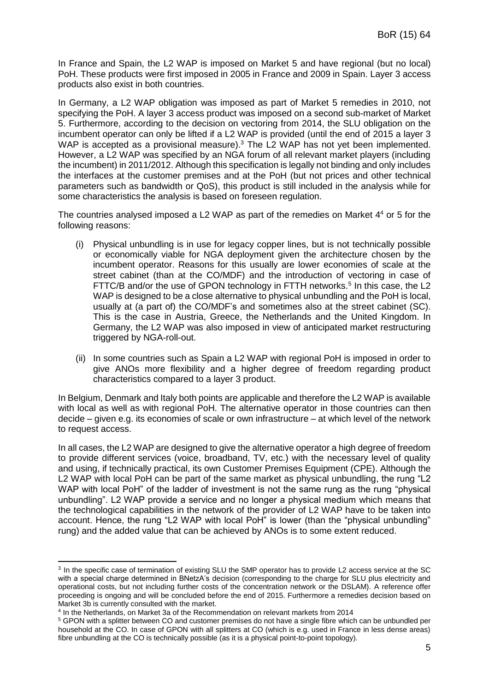In France and Spain, the L2 WAP is imposed on Market 5 and have regional (but no local) PoH. These products were first imposed in 2005 in France and 2009 in Spain. Layer 3 access products also exist in both countries.

In Germany, a L2 WAP obligation was imposed as part of Market 5 remedies in 2010, not specifying the PoH. A layer 3 access product was imposed on a second sub-market of Market 5. Furthermore, according to the decision on vectoring from 2014, the SLU obligation on the incumbent operator can only be lifted if a L2 WAP is provided (until the end of 2015 a layer 3 WAP is accepted as a provisional measure).<sup>3</sup> The L2 WAP has not yet been implemented. However, a L2 WAP was specified by an NGA forum of all relevant market players (including the incumbent) in 2011/2012. Although this specification is legally not binding and only includes the interfaces at the customer premises and at the PoH (but not prices and other technical parameters such as bandwidth or QoS), this product is still included in the analysis while for some characteristics the analysis is based on foreseen regulation.

The countries analysed imposed a L2 WAP as part of the remedies on Market 4<sup>4</sup> or 5 for the following reasons:

- (i) Physical unbundling is in use for legacy copper lines, but is not technically possible or economically viable for NGA deployment given the architecture chosen by the incumbent operator. Reasons for this usually are lower economies of scale at the street cabinet (than at the CO/MDF) and the introduction of vectoring in case of FTTC/B and/or the use of GPON technology in FTTH networks.<sup>5</sup> In this case, the L2 WAP is designed to be a close alternative to physical unbundling and the PoH is local, usually at (a part of) the CO/MDF's and sometimes also at the street cabinet (SC). This is the case in Austria, Greece, the Netherlands and the United Kingdom. In Germany, the L2 WAP was also imposed in view of anticipated market restructuring triggered by NGA-roll-out.
- (ii) In some countries such as Spain a L2 WAP with regional PoH is imposed in order to give ANOs more flexibility and a higher degree of freedom regarding product characteristics compared to a layer 3 product.

In Belgium, Denmark and Italy both points are applicable and therefore the L2 WAP is available with local as well as with regional PoH. The alternative operator in those countries can then decide – given e.g. its economies of scale or own infrastructure – at which level of the network to request access.

In all cases, the L2 WAP are designed to give the alternative operator a high degree of freedom to provide different services (voice, broadband, TV, etc.) with the necessary level of quality and using, if technically practical, its own Customer Premises Equipment (CPE). Although the L2 WAP with local PoH can be part of the same market as physical unbundling, the rung "L2 WAP with local PoH" of the ladder of investment is not the same rung as the rung "physical unbundling". L2 WAP provide a service and no longer a physical medium which means that the technological capabilities in the network of the provider of L2 WAP have to be taken into account. Hence, the rung "L2 WAP with local PoH" is lower (than the "physical unbundling" rung) and the added value that can be achieved by ANOs is to some extent reduced.

<sup>3</sup> In the specific case of termination of existing SLU the SMP operator has to provide L2 access service at the SC with a special charge determined in BNetzA's decision (corresponding to the charge for SLU plus electricity and operational costs, but not including further costs of the concentration network or the DSLAM). A reference offer proceeding is ongoing and will be concluded before the end of 2015. Furthermore a remedies decision based on Market 3b is currently consulted with the market.

<sup>4</sup> In the Netherlands, on Market 3a of the Recommendation on relevant markets from 2014

<sup>5</sup> GPON with a splitter between CO and customer premises do not have a single fibre which can be unbundled per household at the CO. In case of GPON with all splitters at CO (which is e.g. used in France in less dense areas) fibre unbundling at the CO is technically possible (as it is a physical point-to-point topology).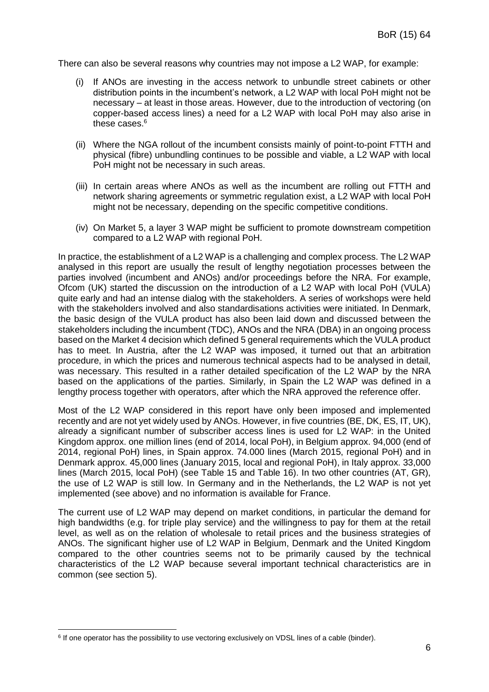There can also be several reasons why countries may not impose a L2 WAP, for example:

- (i) If ANOs are investing in the access network to unbundle street cabinets or other distribution points in the incumbent's network, a L2 WAP with local PoH might not be necessary – at least in those areas. However, due to the introduction of vectoring (on copper-based access lines) a need for a L2 WAP with local PoH may also arise in these cases. 6
- (ii) Where the NGA rollout of the incumbent consists mainly of point-to-point FTTH and physical (fibre) unbundling continues to be possible and viable, a L2 WAP with local PoH might not be necessary in such areas.
- (iii) In certain areas where ANOs as well as the incumbent are rolling out FTTH and network sharing agreements or symmetric regulation exist, a L2 WAP with local PoH might not be necessary, depending on the specific competitive conditions.
- (iv) On Market 5, a layer 3 WAP might be sufficient to promote downstream competition compared to a L2 WAP with regional PoH.

In practice, the establishment of a L2 WAP is a challenging and complex process. The L2 WAP analysed in this report are usually the result of lengthy negotiation processes between the parties involved (incumbent and ANOs) and/or proceedings before the NRA. For example, Ofcom (UK) started the discussion on the introduction of a L2 WAP with local PoH (VULA) quite early and had an intense dialog with the stakeholders. A series of workshops were held with the stakeholders involved and also standardisations activities were initiated. In Denmark, the basic design of the VULA product has also been laid down and discussed between the stakeholders including the incumbent (TDC), ANOs and the NRA (DBA) in an ongoing process based on the Market 4 decision which defined 5 general requirements which the VULA product has to meet. In Austria, after the L2 WAP was imposed, it turned out that an arbitration procedure, in which the prices and numerous technical aspects had to be analysed in detail, was necessary. This resulted in a rather detailed specification of the L2 WAP by the NRA based on the applications of the parties. Similarly, in Spain the L2 WAP was defined in a lengthy process together with operators, after which the NRA approved the reference offer.

Most of the L2 WAP considered in this report have only been imposed and implemented recently and are not yet widely used by ANOs. However, in five countries (BE, DK, ES, IT, UK), already a significant number of subscriber access lines is used for L2 WAP: in the United Kingdom approx. one million lines (end of 2014, local PoH), in Belgium approx. 94,000 (end of 2014, regional PoH) lines, in Spain approx. 74.000 lines (March 2015, regional PoH) and in Denmark approx. 45,000 lines (January 2015, local and regional PoH), in Italy approx. 33,000 lines (March 2015, local PoH) (see [Table 15](#page-37-0) and [Table 16\)](#page-38-0). In two other countries (AT, GR), the use of L2 WAP is still low. In Germany and in the Netherlands, the L2 WAP is not yet implemented (see above) and no information is available for France.

The current use of L2 WAP may depend on market conditions, in particular the demand for high bandwidths (e.g. for triple play service) and the willingness to pay for them at the retail level, as well as on the relation of wholesale to retail prices and the business strategies of ANOs. The significant higher use of L2 WAP in Belgium, Denmark and the United Kingdom compared to the other countries seems not to be primarily caused by the technical characteristics of the L2 WAP because several important technical characteristics are in common (see section [5\)](#page-17-0).

<sup>&</sup>lt;sup>6</sup> If one operator has the possibility to use vectoring exclusively on VDSL lines of a cable (binder).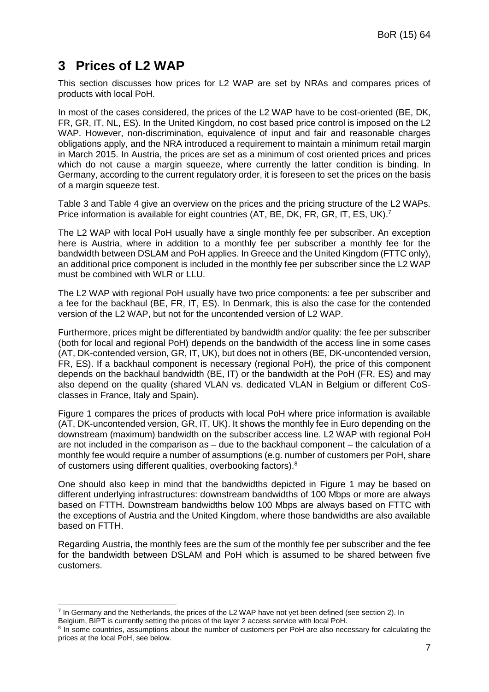## <span id="page-7-0"></span>**3 Prices of L2 WAP**

This section discusses how prices for L2 WAP are set by NRAs and compares prices of products with local PoH.

In most of the cases considered, the prices of the L2 WAP have to be cost-oriented (BE, DK, FR, GR, IT, NL, ES). In the United Kingdom, no cost based price control is imposed on the L2 WAP. However, non-discrimination, equivalence of input and fair and reasonable charges obligations apply, and the NRA introduced a requirement to maintain a minimum retail margin in March 2015. In Austria, the prices are set as a minimum of cost oriented prices and prices which do not cause a margin squeeze, where currently the latter condition is binding. In Germany, according to the current regulatory order, it is foreseen to set the prices on the basis of a margin squeeze test.

[Table 3](#page-24-0) and [Table 4](#page-25-0) give an overview on the prices and the pricing structure of the L2 WAPs. Price information is available for eight countries (AT, BE, DK, FR, GR, IT, ES, UK).<sup>7</sup>

The L2 WAP with local PoH usually have a single monthly fee per subscriber. An exception here is Austria, where in addition to a monthly fee per subscriber a monthly fee for the bandwidth between DSLAM and PoH applies. In Greece and the United Kingdom (FTTC only), an additional price component is included in the monthly fee per subscriber since the L2 WAP must be combined with WLR or LLU.

The L2 WAP with regional PoH usually have two price components: a fee per subscriber and a fee for the backhaul (BE, FR, IT, ES). In Denmark, this is also the case for the contended version of the L2 WAP, but not for the uncontended version of L2 WAP.

Furthermore, prices might be differentiated by bandwidth and/or quality: the fee per subscriber (both for local and regional PoH) depends on the bandwidth of the access line in some cases (AT, DK-contended version, GR, IT, UK), but does not in others (BE, DK-uncontended version, FR, ES). If a backhaul component is necessary (regional PoH), the price of this component depends on the backhaul bandwidth (BE, IT) or the bandwidth at the PoH (FR, ES) and may also depend on the quality (shared VLAN vs. dedicated VLAN in Belgium or different CoSclasses in France, Italy and Spain).

[Figure 1](#page-8-0) compares the prices of products with local PoH where price information is available (AT, DK-uncontended version, GR, IT, UK). It shows the monthly fee in Euro depending on the downstream (maximum) bandwidth on the subscriber access line. L2 WAP with regional PoH are not included in the comparison as – due to the backhaul component – the calculation of a monthly fee would require a number of assumptions (e.g. number of customers per PoH, share of customers using different qualities, overbooking factors).<sup>8</sup>

One should also keep in mind that the bandwidths depicted in [Figure 1](#page-8-0) may be based on different underlying infrastructures: downstream bandwidths of 100 Mbps or more are always based on FTTH. Downstream bandwidths below 100 Mbps are always based on FTTC with the exceptions of Austria and the United Kingdom, where those bandwidths are also available based on FTTH.

Regarding Austria, the monthly fees are the sum of the monthly fee per subscriber and the fee for the bandwidth between DSLAM and PoH which is assumed to be shared between five customers.

<sup>-</sup><sup>7</sup> In Germany and the Netherlands, the prices of the L2 WAP have not yet been defined (see section [2\)](#page-4-1). In Belgium, BIPT is currently setting the prices of the layer 2 access service with local PoH.

<sup>&</sup>lt;sup>8</sup> In some countries, assumptions about the number of customers per PoH are also necessary for calculating the prices at the local PoH, see below.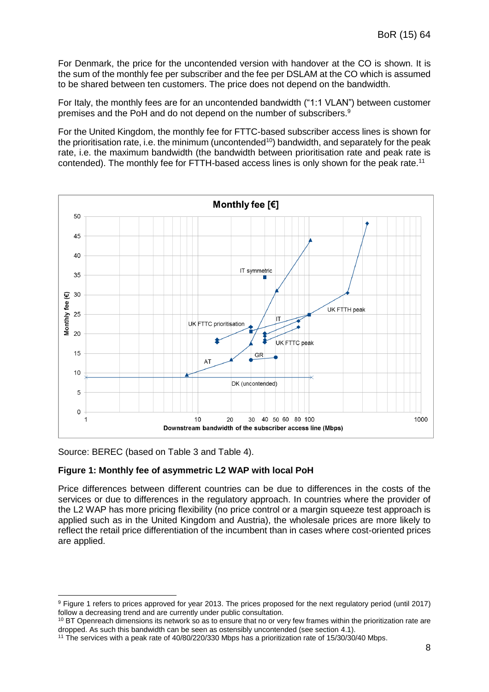For Denmark, the price for the uncontended version with handover at the CO is shown. It is the sum of the monthly fee per subscriber and the fee per DSLAM at the CO which is assumed to be shared between ten customers. The price does not depend on the bandwidth.

For Italy, the monthly fees are for an uncontended bandwidth ("1:1 VLAN") between customer premises and the PoH and do not depend on the number of subscribers.<sup>9</sup>

For the United Kingdom, the monthly fee for FTTC-based subscriber access lines is shown for the prioritisation rate, i.e. the minimum (uncontended<sup>10</sup>) bandwidth, and separately for the peak rate, i.e. the maximum bandwidth (the bandwidth between prioritisation rate and peak rate is contended). The monthly fee for FTTH-based access lines is only shown for the peak rate.<sup>11</sup>



Source: BEREC (based on [Table 3](#page-24-0) and [Table 4\)](#page-25-0).

-

#### <span id="page-8-0"></span>**Figure 1: Monthly fee of asymmetric L2 WAP with local PoH**

Price differences between different countries can be due to differences in the costs of the services or due to differences in the regulatory approach. In countries where the provider of the L2 WAP has more pricing flexibility (no price control or a margin squeeze test approach is applied such as in the United Kingdom and Austria), the wholesale prices are more likely to reflect the retail price differentiation of the incumbent than in cases where cost-oriented prices are applied.

<sup>9</sup> [Figure 1](#page-8-0) refers to prices approved for year 2013. The prices proposed for the next regulatory period (until 2017) follow a decreasing trend and are currently under public consultation.

 $10$  BT Openreach dimensions its network so as to ensure that no or very few frames within the prioritization rate are dropped. As such this bandwidth can be seen as ostensibly uncontended (see section [4.1\)](#page-9-1).

<sup>11</sup> The services with a peak rate of 40/80/220/330 Mbps has a prioritization rate of 15/30/30/40 Mbps.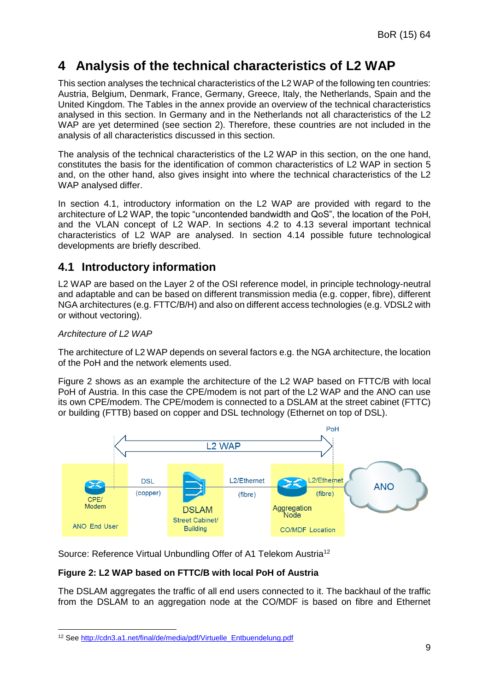## <span id="page-9-3"></span><span id="page-9-0"></span>**4 Analysis of the technical characteristics of L2 WAP**

This section analyses the technical characteristics of the L2 WAP of the following ten countries: Austria, Belgium, Denmark, France, Germany, Greece, Italy, the Netherlands, Spain and the United Kingdom. The Tables in the annex provide an overview of the technical characteristics analysed in this section. In Germany and in the Netherlands not all characteristics of the L2 WAP are yet determined (see section [2\)](#page-4-1). Therefore, these countries are not included in the analysis of all characteristics discussed in this section.

The analysis of the technical characteristics of the L2 WAP in this section, on the one hand, constitutes the basis for the identification of common characteristics of L2 WAP in section [5](#page-17-0) and, on the other hand, also gives insight into where the technical characteristics of the L2 WAP analysed differ.

In section [4.1,](#page-9-1) introductory information on the L2 WAP are provided with regard to the architecture of L2 WAP, the topic "uncontended bandwidth and QoS", the location of the PoH, and the VLAN concept of L2 WAP. In sections [4.2](#page-11-0) to [4.13](#page-16-1) several important technical characteristics of L2 WAP are analysed. In section [4.14](#page-16-2) possible future technological developments are briefly described.

## <span id="page-9-1"></span>**4.1 Introductory information**

L2 WAP are based on the Layer 2 of the OSI reference model, in principle technology-neutral and adaptable and can be based on different transmission media (e.g. copper, fibre), different NGA architectures (e.g. FTTC/B/H) and also on different access technologies (e.g. VDSL2 with or without vectoring).

#### *Architecture of L2 WAP*

The architecture of L2 WAP depends on several factors e.g. the NGA architecture, the location of the PoH and the network elements used.

[Figure 2](#page-9-2) shows as an example the architecture of the L2 WAP based on FTTC/B with local PoH of Austria. In this case the CPE/modem is not part of the L2 WAP and the ANO can use its own CPE/modem. The CPE/modem is connected to a DSLAM at the street cabinet (FTTC) or building (FTTB) based on copper and DSL technology (Ethernet on top of DSL).



Source: Reference Virtual Unbundling Offer of A1 Telekom Austria<sup>12</sup>

#### <span id="page-9-2"></span>**Figure 2: L2 WAP based on FTTC/B with local PoH of Austria**

The DSLAM aggregates the traffic of all end users connected to it. The backhaul of the traffic from the DSLAM to an aggregation node at the CO/MDF is based on fibre and Ethernet

<sup>1</sup> <sup>12</sup> Se[e http://cdn3.a1.net/final/de/media/pdf/Virtuelle\\_Entbuendelung.pdf](http://cdn3.a1.net/final/de/media/pdf/Virtuelle_Entbuendelung.pdf)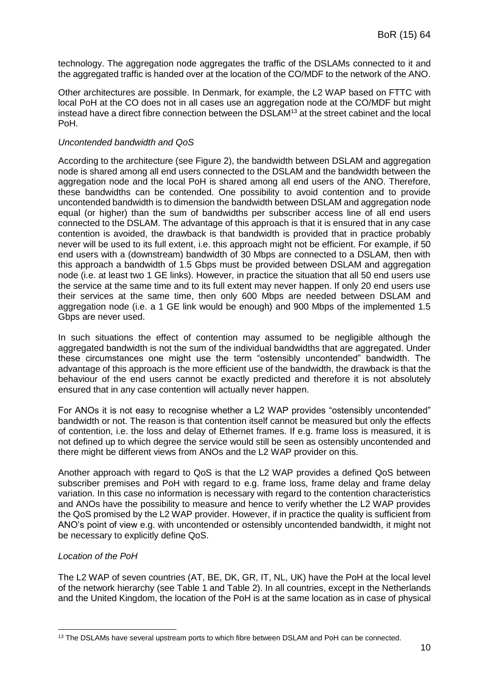technology. The aggregation node aggregates the traffic of the DSLAMs connected to it and the aggregated traffic is handed over at the location of the CO/MDF to the network of the ANO.

Other architectures are possible. In Denmark, for example, the L2 WAP based on FTTC with local PoH at the CO does not in all cases use an aggregation node at the CO/MDF but might instead have a direct fibre connection between the DSLAM<sup>13</sup> at the street cabinet and the local PoH.

#### *Uncontended bandwidth and QoS*

According to the architecture (see [Figure 2\)](#page-9-2), the bandwidth between DSLAM and aggregation node is shared among all end users connected to the DSLAM and the bandwidth between the aggregation node and the local PoH is shared among all end users of the ANO. Therefore, these bandwidths can be contended. One possibility to avoid contention and to provide uncontended bandwidth is to dimension the bandwidth between DSLAM and aggregation node equal (or higher) than the sum of bandwidths per subscriber access line of all end users connected to the DSLAM. The advantage of this approach is that it is ensured that in any case contention is avoided, the drawback is that bandwidth is provided that in practice probably never will be used to its full extent, i.e. this approach might not be efficient. For example, if 50 end users with a (downstream) bandwidth of 30 Mbps are connected to a DSLAM, then with this approach a bandwidth of 1.5 Gbps must be provided between DSLAM and aggregation node (i.e. at least two 1 GE links). However, in practice the situation that all 50 end users use the service at the same time and to its full extent may never happen. If only 20 end users use their services at the same time, then only 600 Mbps are needed between DSLAM and aggregation node (i.e. a 1 GE link would be enough) and 900 Mbps of the implemented 1.5 Gbps are never used.

In such situations the effect of contention may assumed to be negligible although the aggregated bandwidth is not the sum of the individual bandwidths that are aggregated. Under these circumstances one might use the term "ostensibly uncontended" bandwidth. The advantage of this approach is the more efficient use of the bandwidth, the drawback is that the behaviour of the end users cannot be exactly predicted and therefore it is not absolutely ensured that in any case contention will actually never happen.

For ANOs it is not easy to recognise whether a L2 WAP provides "ostensibly uncontended" bandwidth or not. The reason is that contention itself cannot be measured but only the effects of contention, i.e. the loss and delay of Ethernet frames. If e.g. frame loss is measured, it is not defined up to which degree the service would still be seen as ostensibly uncontended and there might be different views from ANOs and the L2 WAP provider on this.

Another approach with regard to QoS is that the L2 WAP provides a defined QoS between subscriber premises and PoH with regard to e.g. frame loss, frame delay and frame delay variation. In this case no information is necessary with regard to the contention characteristics and ANOs have the possibility to measure and hence to verify whether the L2 WAP provides the QoS promised by the L2 WAP provider. However, if in practice the quality is sufficient from ANO's point of view e.g. with uncontended or ostensibly uncontended bandwidth, it might not be necessary to explicitly define QoS.

#### *Location of the PoH*

1

The L2 WAP of seven countries (AT, BE, DK, GR, IT, NL, UK) have the PoH at the local level of the network hierarchy (see [Table 1](#page-22-1) and [Table 2\)](#page-23-0). In all countries, except in the Netherlands and the United Kingdom, the location of the PoH is at the same location as in case of physical

<sup>&</sup>lt;sup>13</sup> The DSLAMs have several upstream ports to which fibre between DSLAM and PoH can be connected.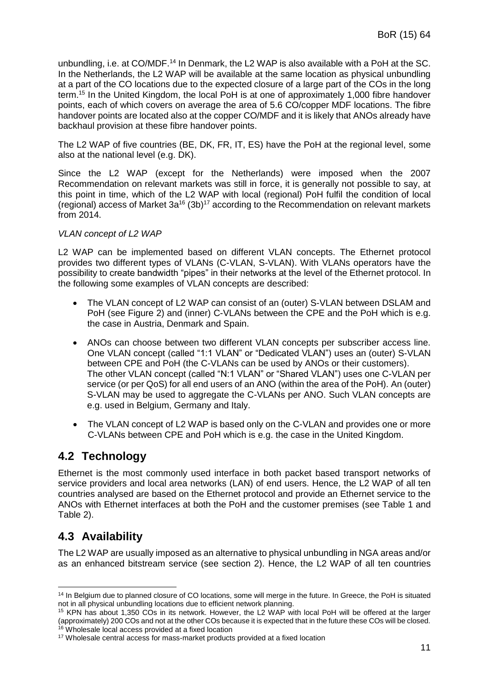unbundling, i.e. at CO/MDF.<sup>14</sup> In Denmark, the L2 WAP is also available with a PoH at the SC. In the Netherlands, the L2 WAP will be available at the same location as physical unbundling at a part of the CO locations due to the expected closure of a large part of the COs in the long term. <sup>15</sup> In the United Kingdom, the local PoH is at one of approximately 1,000 fibre handover points, each of which covers on average the area of 5.6 CO/copper MDF locations. The fibre handover points are located also at the copper CO/MDF and it is likely that ANOs already have backhaul provision at these fibre handover points.

The L2 WAP of five countries (BE, DK, FR, IT, ES) have the PoH at the regional level, some also at the national level (e.g. DK).

Since the L2 WAP (except for the Netherlands) were imposed when the 2007 Recommendation on relevant markets was still in force, it is generally not possible to say, at this point in time, which of the L2 WAP with local (regional) PoH fulfil the condition of local (regional) access of Market  $3a^{16} (3b)^{17}$  according to the Recommendation on relevant markets from 2014.

#### *VLAN concept of L2 WAP*

L2 WAP can be implemented based on different VLAN concepts. The Ethernet protocol provides two different types of VLANs (C-VLAN, S-VLAN). With VLANs operators have the possibility to create bandwidth "pipes" in their networks at the level of the Ethernet protocol. In the following some examples of VLAN concepts are described:

- The VLAN concept of L2 WAP can consist of an (outer) S-VLAN between DSLAM and PoH (see [Figure 2\)](#page-9-2) and (inner) C-VLANs between the CPE and the PoH which is e.g. the case in Austria, Denmark and Spain.
- ANOs can choose between two different VLAN concepts per subscriber access line. One VLAN concept (called "1:1 VLAN" or "Dedicated VLAN") uses an (outer) S-VLAN between CPE and PoH (the C-VLANs can be used by ANOs or their customers). The other VLAN concept (called "N:1 VLAN" or "Shared VLAN") uses one C-VLAN per service (or per QoS) for all end users of an ANO (within the area of the PoH). An (outer) S-VLAN may be used to aggregate the C-VLANs per ANO. Such VLAN concepts are e.g. used in Belgium, Germany and Italy.
- The VLAN concept of L2 WAP is based only on the C-VLAN and provides one or more C-VLANs between CPE and PoH which is e.g. the case in the United Kingdom.

## <span id="page-11-0"></span>**4.2 Technology**

Ethernet is the most commonly used interface in both packet based transport networks of service providers and local area networks (LAN) of end users. Hence, the L2 WAP of all ten countries analysed are based on the Ethernet protocol and provide an Ethernet service to the ANOs with Ethernet interfaces at both the PoH and the customer premises (see [Table 1](#page-22-1) and [Table 2\)](#page-23-0).

## <span id="page-11-1"></span>**4.3 Availability**

1

The L2 WAP are usually imposed as an alternative to physical unbundling in NGA areas and/or as an enhanced bitstream service (see section [2\)](#page-4-1). Hence, the L2 WAP of all ten countries

<sup>&</sup>lt;sup>14</sup> In Belgium due to planned closure of CO locations, some will merge in the future. In Greece, the PoH is situated not in all physical unbundling locations due to efficient network planning.

<sup>&</sup>lt;sup>15</sup> KPN has about 1,350 COs in its network. However, the L2 WAP with local PoH will be offered at the larger (approximately) 200 COs and not at the other COs because it is expected that in the future these COs will be closed. <sup>16</sup> Wholesale local access provided at a fixed location

<sup>&</sup>lt;sup>17</sup> Wholesale central access for mass-market products provided at a fixed location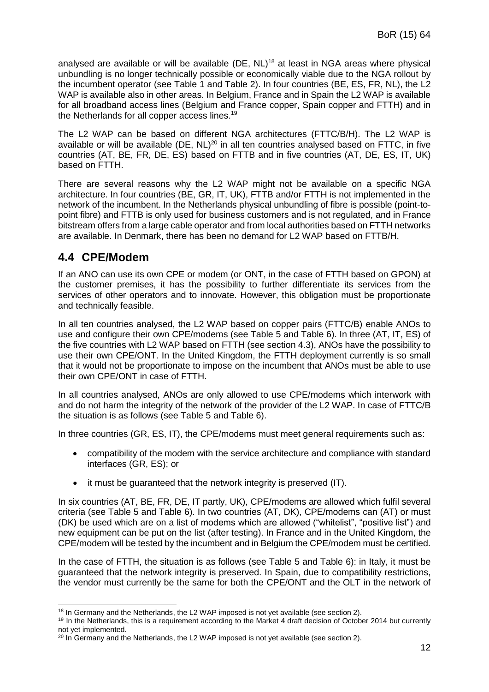analysed are available or will be available (DE, NL)<sup>18</sup> at least in NGA areas where physical unbundling is no longer technically possible or economically viable due to the NGA rollout by the incumbent operator (see [Table 1](#page-22-1) and [Table 2\)](#page-23-0). In four countries (BE, ES, FR, NL), the L2 WAP is available also in other areas. In Belgium, France and in Spain the L2 WAP is available for all broadband access lines (Belgium and France copper, Spain copper and FTTH) and in the Netherlands for all copper access lines.<sup>19</sup>

The L2 WAP can be based on different NGA architectures (FTTC/B/H). The L2 WAP is available or will be available ( $DE$ ,  $NL$ )<sup>20</sup> in all ten countries analysed based on FTTC, in five countries (AT, BE, FR, DE, ES) based on FTTB and in five countries (AT, DE, ES, IT, UK) based on FTTH.

There are several reasons why the L2 WAP might not be available on a specific NGA architecture. In four countries (BE, GR, IT, UK), FTTB and/or FTTH is not implemented in the network of the incumbent. In the Netherlands physical unbundling of fibre is possible (point-topoint fibre) and FTTB is only used for business customers and is not regulated, and in France bitstream offers from a large cable operator and from local authorities based on FTTH networks are available. In Denmark, there has been no demand for L2 WAP based on FTTB/H.

### <span id="page-12-0"></span>**4.4 CPE/Modem**

If an ANO can use its own CPE or modem (or ONT, in the case of FTTH based on GPON) at the customer premises, it has the possibility to further differentiate its services from the services of other operators and to innovate. However, this obligation must be proportionate and technically feasible.

In all ten countries analysed, the L2 WAP based on copper pairs (FTTC/B) enable ANOs to use and configure their own CPE/modems (see [Table 5](#page-27-0) and [Table 6\)](#page-28-0). In three (AT, IT, ES) of the five countries with L2 WAP based on FTTH (see section [4.3\)](#page-11-1), ANOs have the possibility to use their own CPE/ONT. In the United Kingdom, the FTTH deployment currently is so small that it would not be proportionate to impose on the incumbent that ANOs must be able to use their own CPE/ONT in case of FTTH.

In all countries analysed, ANOs are only allowed to use CPE/modems which interwork with and do not harm the integrity of the network of the provider of the L2 WAP. In case of FTTC/B the situation is as follows (see [Table 5](#page-27-0) and [Table 6\)](#page-28-0).

In three countries (GR, ES, IT), the CPE/modems must meet general requirements such as:

- compatibility of the modem with the service architecture and compliance with standard interfaces (GR, ES); or
- it must be guaranteed that the network integrity is preserved (IT).

In six countries (AT, BE, FR, DE, IT partly, UK), CPE/modems are allowed which fulfil several criteria (see [Table 5](#page-27-0) and [Table 6\)](#page-28-0). In two countries (AT, DK), CPE/modems can (AT) or must (DK) be used which are on a list of modems which are allowed ("whitelist", "positive list") and new equipment can be put on the list (after testing). In France and in the United Kingdom, the CPE/modem will be tested by the incumbent and in Belgium the CPE/modem must be certified.

In the case of FTTH, the situation is as follows (see [Table 5](#page-27-0) and [Table 6\)](#page-28-0): in Italy, it must be guaranteed that the network integrity is preserved. In Spain, due to compatibility restrictions, the vendor must currently be the same for both the CPE/ONT and the OLT in the network of

<sup>-</sup><sup>18</sup> In Germany and the Netherlands, the L2 WAP imposed is not yet available (see section 2).

<sup>&</sup>lt;sup>19</sup> In the Netherlands, this is a requirement according to the Market 4 draft decision of October 2014 but currently not yet implemented.

 $20$  In Germany and the Netherlands, the L2 WAP imposed is not yet available (see section 2).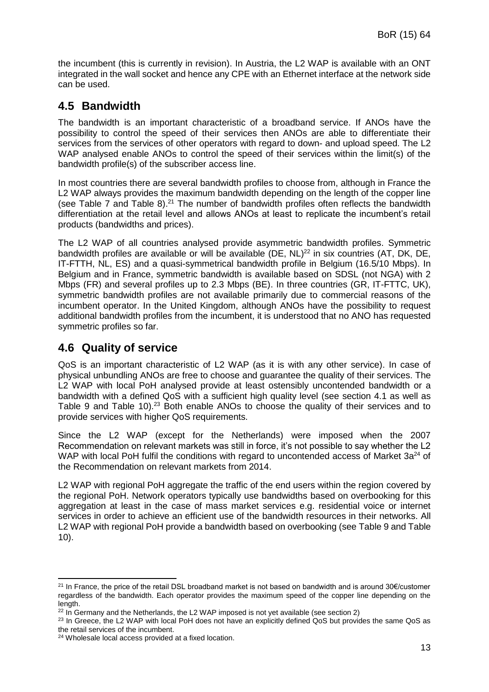the incumbent (this is currently in revision). In Austria, the L2 WAP is available with an ONT integrated in the wall socket and hence any CPE with an Ethernet interface at the network side can be used.

### <span id="page-13-0"></span>**4.5 Bandwidth**

The bandwidth is an important characteristic of a broadband service. If ANOs have the possibility to control the speed of their services then ANOs are able to differentiate their services from the services of other operators with regard to down- and upload speed. The L2 WAP analysed enable ANOs to control the speed of their services within the limit(s) of the bandwidth profile(s) of the subscriber access line.

In most countries there are several bandwidth profiles to choose from, although in France the L2 WAP always provides the maximum bandwidth depending on the length of the copper line (see [Table 7](#page-29-0) and [Table 8\)](#page-29-1). <sup>21</sup> The number of bandwidth profiles often reflects the bandwidth differentiation at the retail level and allows ANOs at least to replicate the incumbent's retail products (bandwidths and prices).

The L2 WAP of all countries analysed provide asymmetric bandwidth profiles. Symmetric bandwidth profiles are available or will be available (DE, NL)<sup>22</sup> in six countries (AT, DK, DE, IT-FTTH, NL, ES) and a quasi-symmetrical bandwidth profile in Belgium (16.5/10 Mbps). In Belgium and in France, symmetric bandwidth is available based on SDSL (not NGA) with 2 Mbps (FR) and several profiles up to 2.3 Mbps (BE). In three countries (GR, IT-FTTC, UK), symmetric bandwidth profiles are not available primarily due to commercial reasons of the incumbent operator. In the United Kingdom, although ANOs have the possibility to request additional bandwidth profiles from the incumbent, it is understood that no ANO has requested symmetric profiles so far.

### <span id="page-13-1"></span>**4.6 Quality of service**

QoS is an important characteristic of L2 WAP (as it is with any other service). In case of physical unbundling ANOs are free to choose and guarantee the quality of their services. The L2 WAP with local PoH analysed provide at least ostensibly uncontended bandwidth or a bandwidth with a defined QoS with a sufficient high quality level (see section [4.1](#page-9-1) as well as [Table 9](#page-31-0) and [Table 10\)](#page-32-0).<sup>23</sup> Both enable ANOs to choose the quality of their services and to provide services with higher QoS requirements.

Since the L2 WAP (except for the Netherlands) were imposed when the 2007 Recommendation on relevant markets was still in force, it's not possible to say whether the L2 WAP with local PoH fulfil the conditions with regard to uncontended access of Market  $3a^{24}$  of the Recommendation on relevant markets from 2014.

L2 WAP with regional PoH aggregate the traffic of the end users within the region covered by the regional PoH. Network operators typically use bandwidths based on overbooking for this aggregation at least in the case of mass market services e.g. residential voice or internet services in order to achieve an efficient use of the bandwidth resources in their networks. All L2 WAP with regional PoH provide a bandwidth based on overbooking (see [Table 9](#page-31-0) and [Table](#page-32-0)  [10\)](#page-32-0).

-

<sup>&</sup>lt;sup>21</sup> In France, the price of the retail DSL broadband market is not based on bandwidth and is around 30€/customer regardless of the bandwidth. Each operator provides the maximum speed of the copper line depending on the length.

 $22$  In Germany and the Netherlands, the L2 WAP imposed is not yet available (see section 2)

<sup>&</sup>lt;sup>23</sup> In Greece, the L2 WAP with local PoH does not have an explicitly defined QoS but provides the same QoS as the retail services of the incumbent.

<sup>24</sup> Wholesale local access provided at a fixed location.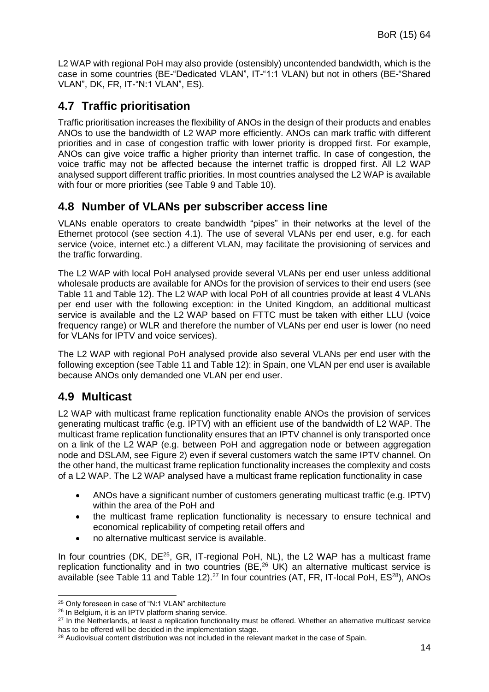L2 WAP with regional PoH may also provide (ostensibly) uncontended bandwidth, which is the case in some countries (BE-"Dedicated VLAN", IT-"1:1 VLAN) but not in others (BE-"Shared VLAN", DK, FR, IT-"N:1 VLAN", ES).

## <span id="page-14-0"></span>**4.7 Traffic prioritisation**

Traffic prioritisation increases the flexibility of ANOs in the design of their products and enables ANOs to use the bandwidth of L2 WAP more efficiently. ANOs can mark traffic with different priorities and in case of congestion traffic with lower priority is dropped first. For example, ANOs can give voice traffic a higher priority than internet traffic. In case of congestion, the voice traffic may not be affected because the internet traffic is dropped first. All L2 WAP analysed support different traffic priorities. In most countries analysed the L2 WAP is available with four or more priorities (see [Table 9](#page-31-0) and [Table 10\)](#page-32-0).

### <span id="page-14-1"></span>**4.8 Number of VLANs per subscriber access line**

VLANs enable operators to create bandwidth "pipes" in their networks at the level of the Ethernet protocol (see section [4.1\)](#page-9-1). The use of several VLANs per end user, e.g. for each service (voice, internet etc.) a different VLAN, may facilitate the provisioning of services and the traffic forwarding.

The L2 WAP with local PoH analysed provide several VLANs per end user unless additional wholesale products are available for ANOs for the provision of services to their end users (see [Table 11](#page-33-0) and [Table 12\)](#page-34-0). The L2 WAP with local PoH of all countries provide at least 4 VLANs per end user with the following exception: in the United Kingdom, an additional multicast service is available and the L2 WAP based on FTTC must be taken with either LLU (voice frequency range) or WLR and therefore the number of VLANs per end user is lower (no need for VLANs for IPTV and voice services).

The L2 WAP with regional PoH analysed provide also several VLANs per end user with the following exception (see [Table 11](#page-33-0) an[d Table 12\)](#page-34-0): in Spain, one VLAN per end user is available because ANOs only demanded one VLAN per end user.

### <span id="page-14-2"></span>**4.9 Multicast**

L2 WAP with multicast frame replication functionality enable ANOs the provision of services generating multicast traffic (e.g. IPTV) with an efficient use of the bandwidth of L2 WAP. The multicast frame replication functionality ensures that an IPTV channel is only transported once on a link of the L2 WAP (e.g. between PoH and aggregation node or between aggregation node and DSLAM, see [Figure 2\)](#page-9-2) even if several customers watch the same IPTV channel. On the other hand, the multicast frame replication functionality increases the complexity and costs of a L2 WAP. The L2 WAP analysed have a multicast frame replication functionality in case

- ANOs have a significant number of customers generating multicast traffic (e.g. IPTV) within the area of the PoH and
- the multicast frame replication functionality is necessary to ensure technical and economical replicability of competing retail offers and
- no alternative multicast service is available.

In four countries (DK, DE<sup>25</sup>, GR, IT-regional PoH, NL), the L2 WAP has a multicast frame replication functionality and in two countries (BE, $^{26}$  UK) an alternative multicast service is available (see [Table 11](#page-33-0) and [Table 12\)](#page-34-0).<sup>27</sup> In four countries (AT, FR, IT-local PoH, ES<sup>28</sup>), ANOs

<sup>-</sup><sup>25</sup> Only foreseen in case of "N:1 VLAN" architecture

<sup>26</sup> In Belgium, it is an IPTV platform sharing service.

<sup>&</sup>lt;sup>27</sup> In the Netherlands, at least a replication functionality must be offered. Whether an alternative multicast service has to be offered will be decided in the implementation stage.

<sup>&</sup>lt;sup>28</sup> Audiovisual content distribution was not included in the relevant market in the case of Spain.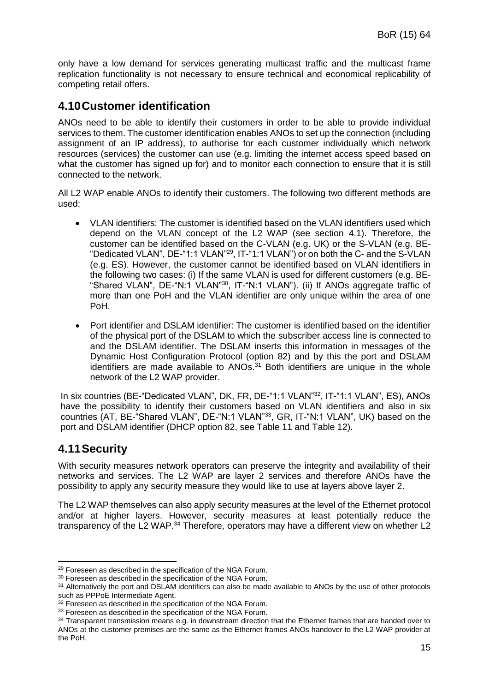only have a low demand for services generating multicast traffic and the multicast frame replication functionality is not necessary to ensure technical and economical replicability of competing retail offers.

### <span id="page-15-0"></span>**4.10Customer identification**

ANOs need to be able to identify their customers in order to be able to provide individual services to them. The customer identification enables ANOs to set up the connection (including assignment of an IP address), to authorise for each customer individually which network resources (services) the customer can use (e.g. limiting the internet access speed based on what the customer has signed up for) and to monitor each connection to ensure that it is still connected to the network.

All L2 WAP enable ANOs to identify their customers. The following two different methods are used:

- VLAN identifiers: The customer is identified based on the VLAN identifiers used which depend on the VLAN concept of the L2 WAP (see section [4.1\)](#page-9-1). Therefore, the customer can be identified based on the C-VLAN (e.g. UK) or the S-VLAN (e.g. BE- "Dedicated VLAN", DE-"1:1 VLAN"<sup>29</sup>, IT-"1:1 VLAN") or on both the C- and the S-VLAN (e.g. ES). However, the customer cannot be identified based on VLAN identifiers in the following two cases: (i) If the same VLAN is used for different customers (e.g. BE- "Shared VLAN", DE-"N:1 VLAN"<sup>30</sup>, IT-"N:1 VLAN"). (ii) If ANOs aggregate traffic of more than one PoH and the VLAN identifier are only unique within the area of one PoH.
- Port identifier and DSLAM identifier: The customer is identified based on the identifier of the physical port of the DSLAM to which the subscriber access line is connected to and the DSLAM identifier. The DSLAM inserts this information in messages of the Dynamic Host Configuration Protocol (option 82) and by this the port and DSLAM identifiers are made available to  $ANOs.<sup>31</sup>$  Both identifiers are unique in the whole network of the L2 WAP provider.

In six countries (BE-"Dedicated VLAN", DK, FR, DE-"1:1 VLAN"32, IT-"1:1 VLAN", ES), ANOs have the possibility to identify their customers based on VLAN identifiers and also in six countries (AT, BE-"Shared VLAN", DE-"N:1 VLAN"<sup>33</sup>, GR, IT-"N:1 VLAN", UK) based on the port and DSLAM identifier (DHCP option 82, see [Table 11](#page-33-0) and [Table 12\)](#page-34-0).

### <span id="page-15-1"></span>**4.11Security**

With security measures network operators can preserve the integrity and availability of their networks and services. The L2 WAP are layer 2 services and therefore ANOs have the possibility to apply any security measure they would like to use at layers above layer 2.

The L2 WAP themselves can also apply security measures at the level of the Ethernet protocol and/or at higher layers. However, security measures at least potentially reduce the transparency of the L2 WAP.<sup>34</sup> Therefore, operators may have a different view on whether L2

<sup>1</sup> <sup>29</sup> Foreseen as described in the specification of the NGA Forum.

<sup>&</sup>lt;sup>30</sup> Foreseen as described in the specification of the NGA Forum.

<sup>&</sup>lt;sup>31</sup> Alternatively the port and DSLAM identifiers can also be made available to ANOs by the use of other protocols such as PPPoE Intermediate Agent.

<sup>&</sup>lt;sup>32</sup> Foreseen as described in the specification of the NGA Forum.

<sup>&</sup>lt;sup>33</sup> Foreseen as described in the specification of the NGA Forum.

<sup>&</sup>lt;sup>34</sup> Transparent transmission means e.g. in downstream direction that the Ethernet frames that are handed over to ANOs at the customer premises are the same as the Ethernet frames ANOs handover to the L2 WAP provider at the PoH.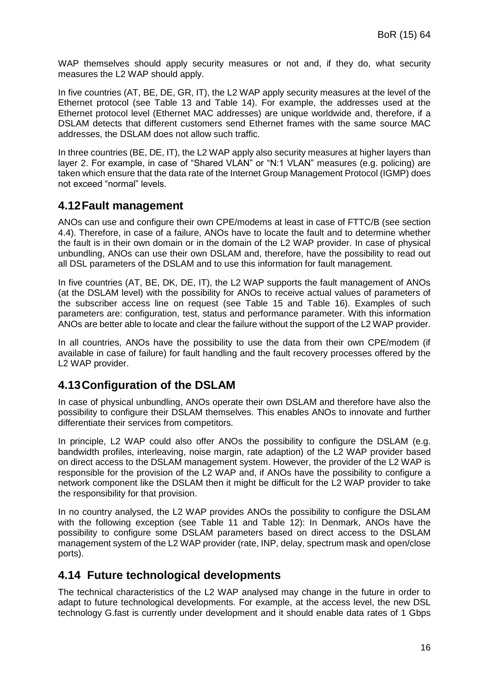WAP themselves should apply security measures or not and, if they do, what security measures the L2 WAP should apply.

In five countries (AT, BE, DE, GR, IT), the L2 WAP apply security measures at the level of the Ethernet protocol (see [Table 13](#page-35-0) and [Table 14\)](#page-36-0). For example, the addresses used at the Ethernet protocol level (Ethernet MAC addresses) are unique worldwide and, therefore, if a DSLAM detects that different customers send Ethernet frames with the same source MAC addresses, the DSLAM does not allow such traffic.

In three countries (BE, DE, IT), the L2 WAP apply also security measures at higher layers than layer 2. For example, in case of "Shared VLAN" or "N:1 VLAN" measures (e.g. policing) are taken which ensure that the data rate of the Internet Group Management Protocol (IGMP) does not exceed "normal" levels.

### <span id="page-16-0"></span>**4.12Fault management**

ANOs can use and configure their own CPE/modems at least in case of FTTC/B (see section [4.4\)](#page-12-0). Therefore, in case of a failure, ANOs have to locate the fault and to determine whether the fault is in their own domain or in the domain of the L2 WAP provider. In case of physical unbundling, ANOs can use their own DSLAM and, therefore, have the possibility to read out all DSL parameters of the DSLAM and to use this information for fault management.

In five countries (AT, BE, DK, DE, IT), the L2 WAP supports the fault management of ANOs (at the DSLAM level) with the possibility for ANOs to receive actual values of parameters of the subscriber access line on request (see [Table 15](#page-37-0) and [Table 16\)](#page-38-0). Examples of such parameters are: configuration, test, status and performance parameter. With this information ANOs are better able to locate and clear the failure without the support of the L2 WAP provider.

In all countries, ANOs have the possibility to use the data from their own CPE/modem (if available in case of failure) for fault handling and the fault recovery processes offered by the L2 WAP provider.

### <span id="page-16-1"></span>**4.13Configuration of the DSLAM**

In case of physical unbundling, ANOs operate their own DSLAM and therefore have also the possibility to configure their DSLAM themselves. This enables ANOs to innovate and further differentiate their services from competitors.

In principle, L2 WAP could also offer ANOs the possibility to configure the DSLAM (e.g. bandwidth profiles, interleaving, noise margin, rate adaption) of the L2 WAP provider based on direct access to the DSLAM management system. However, the provider of the L2 WAP is responsible for the provision of the L2 WAP and, if ANOs have the possibility to configure a network component like the DSLAM then it might be difficult for the L2 WAP provider to take the responsibility for that provision.

In no country analysed, the L2 WAP provides ANOs the possibility to configure the DSLAM with the following exception (see [Table 11](#page-33-0) and [Table 12\)](#page-34-0): In Denmark, ANOs have the possibility to configure some DSLAM parameters based on direct access to the DSLAM management system of the L2 WAP provider (rate, INP, delay, spectrum mask and open/close ports).

### <span id="page-16-2"></span>**4.14 Future technological developments**

The technical characteristics of the L2 WAP analysed may change in the future in order to adapt to future technological developments. For example, at the access level, the new DSL technology G.fast is currently under development and it should enable data rates of 1 Gbps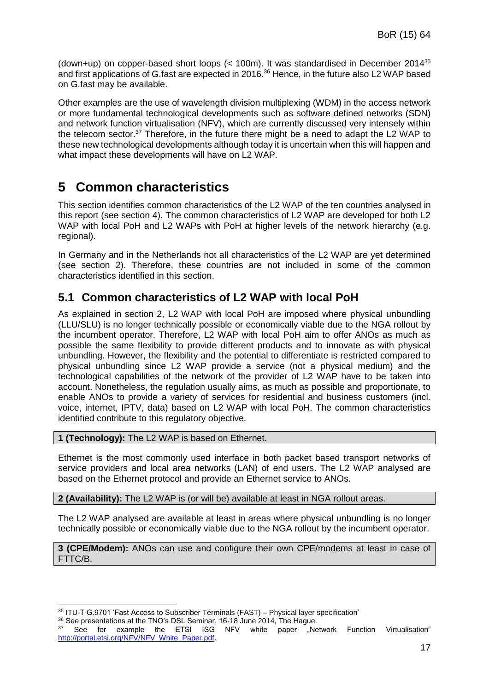(down+up) on copper-based short loops (< 100m). It was standardised in December 2014<sup>35</sup> and first applications of G.fast are expected in 2016.<sup>36</sup> Hence, in the future also L2 WAP based on G.fast may be available.

Other examples are the use of wavelength division multiplexing (WDM) in the access network or more fundamental technological developments such as software defined networks (SDN) and network function virtualisation (NFV), which are currently discussed very intensely within the telecom sector.<sup>37</sup> Therefore, in the future there might be a need to adapt the L2 WAP to these new technological developments although today it is uncertain when this will happen and what impact these developments will have on L2 WAP.

## <span id="page-17-0"></span>**5 Common characteristics**

This section identifies common characteristics of the L2 WAP of the ten countries analysed in this report (see section [4\)](#page-9-0). The common characteristics of L2 WAP are developed for both L2 WAP with local PoH and L2 WAPs with PoH at higher levels of the network hierarchy (e.g. regional).

In Germany and in the Netherlands not all characteristics of the L2 WAP are yet determined (see section [2\)](#page-4-1). Therefore, these countries are not included in some of the common characteristics identified in this section.

## <span id="page-17-1"></span>**5.1 Common characteristics of L2 WAP with local PoH**

As explained in section [2,](#page-4-1) L2 WAP with local PoH are imposed where physical unbundling (LLU/SLU) is no longer technically possible or economically viable due to the NGA rollout by the incumbent operator. Therefore, L2 WAP with local PoH aim to offer ANOs as much as possible the same flexibility to provide different products and to innovate as with physical unbundling. However, the flexibility and the potential to differentiate is restricted compared to physical unbundling since L2 WAP provide a service (not a physical medium) and the technological capabilities of the network of the provider of L2 WAP have to be taken into account. Nonetheless, the regulation usually aims, as much as possible and proportionate, to enable ANOs to provide a variety of services for residential and business customers (incl. voice, internet, IPTV, data) based on L2 WAP with local PoH. The common characteristics identified contribute to this regulatory objective.

**1 (Technology):** The L2 WAP is based on Ethernet.

Ethernet is the most commonly used interface in both packet based transport networks of service providers and local area networks (LAN) of end users. The L2 WAP analysed are based on the Ethernet protocol and provide an Ethernet service to ANOs.

**2 (Availability):** The L2 WAP is (or will be) available at least in NGA rollout areas.

The L2 WAP analysed are available at least in areas where physical unbundling is no longer technically possible or economically viable due to the NGA rollout by the incumbent operator.

**3 (CPE/Modem):** ANOs can use and configure their own CPE/modems at least in case of FTTC/B.

<sup>-</sup><sup>35</sup> ITU-T G.9701 'Fast Access to Subscriber Terminals (FAST) – Physical layer specification'

<sup>&</sup>lt;sup>36</sup> See presentations at the TNO's DSL Seminar, 16-18 June 2014, The Hague.<br><sup>37</sup> See for example, the ETSL ISC NEV, white paper. Ne

See for example the ETSI ISG NFV white paper "Network Function Virtualisation" [http://portal.etsi.org/NFV/NFV\\_White\\_Paper.pdf.](http://portal.etsi.org/NFV/NFV_White_Paper.pdf)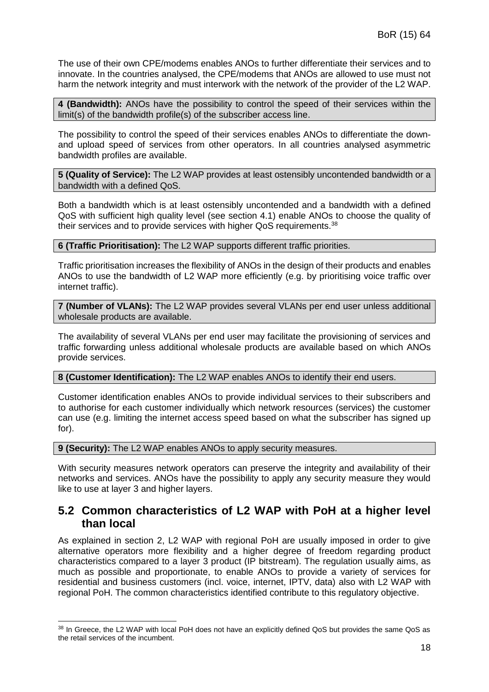The use of their own CPE/modems enables ANOs to further differentiate their services and to innovate. In the countries analysed, the CPE/modems that ANOs are allowed to use must not harm the network integrity and must interwork with the network of the provider of the L2 WAP.

**4 (Bandwidth):** ANOs have the possibility to control the speed of their services within the limit(s) of the bandwidth profile(s) of the subscriber access line.

The possibility to control the speed of their services enables ANOs to differentiate the downand upload speed of services from other operators. In all countries analysed asymmetric bandwidth profiles are available.

**5 (Quality of Service):** The L2 WAP provides at least ostensibly uncontended bandwidth or a bandwidth with a defined QoS.

Both a bandwidth which is at least ostensibly uncontended and a bandwidth with a defined QoS with sufficient high quality level (see section [4.1\)](#page-9-1) enable ANOs to choose the quality of their services and to provide services with higher QoS requirements.<sup>38</sup>

**6 (Traffic Prioritisation):** The L2 WAP supports different traffic priorities.

Traffic prioritisation increases the flexibility of ANOs in the design of their products and enables ANOs to use the bandwidth of L2 WAP more efficiently (e.g. by prioritising voice traffic over internet traffic).

**7 (Number of VLANs):** The L2 WAP provides several VLANs per end user unless additional wholesale products are available.

The availability of several VLANs per end user may facilitate the provisioning of services and traffic forwarding unless additional wholesale products are available based on which ANOs provide services.

**8 (Customer Identification):** The L2 WAP enables ANOs to identify their end users.

Customer identification enables ANOs to provide individual services to their subscribers and to authorise for each customer individually which network resources (services) the customer can use (e.g. limiting the internet access speed based on what the subscriber has signed up for).

**9 (Security):** The L2 WAP enables ANOs to apply security measures.

-

With security measures network operators can preserve the integrity and availability of their networks and services. ANOs have the possibility to apply any security measure they would like to use at layer 3 and higher layers.

#### <span id="page-18-0"></span>**5.2 Common characteristics of L2 WAP with PoH at a higher level than local**

As explained in section [2,](#page-4-1) L2 WAP with regional PoH are usually imposed in order to give alternative operators more flexibility and a higher degree of freedom regarding product characteristics compared to a layer 3 product (IP bitstream). The regulation usually aims, as much as possible and proportionate, to enable ANOs to provide a variety of services for residential and business customers (incl. voice, internet, IPTV, data) also with L2 WAP with regional PoH. The common characteristics identified contribute to this regulatory objective.

<sup>38</sup> In Greece, the L2 WAP with local PoH does not have an explicitly defined QoS but provides the same QoS as the retail services of the incumbent.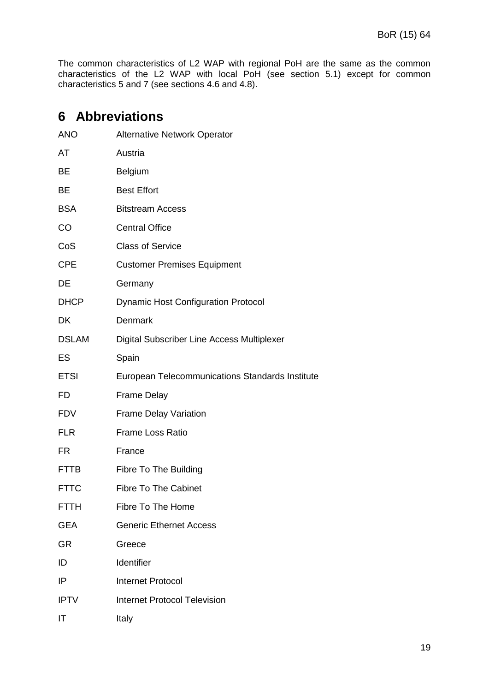The common characteristics of L2 WAP with regional PoH are the same as the common characteristics of the L2 WAP with local PoH (see section [5.1\)](#page-17-1) except for common characteristics 5 and 7 (see sections [4.6](#page-13-1) and [4.8\)](#page-14-1).

## <span id="page-19-0"></span>**6 Abbreviations**

| <b>ANO</b>   | <b>Alternative Network Operator</b>             |
|--------------|-------------------------------------------------|
| AT           | Austria                                         |
| <b>BE</b>    | <b>Belgium</b>                                  |
| BE           | <b>Best Effort</b>                              |
| <b>BSA</b>   | <b>Bitstream Access</b>                         |
| CO           | <b>Central Office</b>                           |
| CoS          | <b>Class of Service</b>                         |
| <b>CPE</b>   | <b>Customer Premises Equipment</b>              |
| DE           | Germany                                         |
| <b>DHCP</b>  | <b>Dynamic Host Configuration Protocol</b>      |
| <b>DK</b>    | Denmark                                         |
| <b>DSLAM</b> | Digital Subscriber Line Access Multiplexer      |
| ES           | Spain                                           |
| <b>ETSI</b>  | European Telecommunications Standards Institute |
| <b>FD</b>    | <b>Frame Delay</b>                              |
| <b>FDV</b>   | <b>Frame Delay Variation</b>                    |
| <b>FLR</b>   | <b>Frame Loss Ratio</b>                         |
| FR.          | France                                          |
| <b>FTTB</b>  | <b>Fibre To The Building</b>                    |
| <b>FTTC</b>  | <b>Fibre To The Cabinet</b>                     |
| <b>FTTH</b>  | Fibre To The Home                               |
| <b>GEA</b>   | <b>Generic Ethernet Access</b>                  |
| GR           | Greece                                          |
| ID           | Identifier                                      |
| IP           | <b>Internet Protocol</b>                        |
| <b>IPTV</b>  | <b>Internet Protocol Television</b>             |
| IT           | Italy                                           |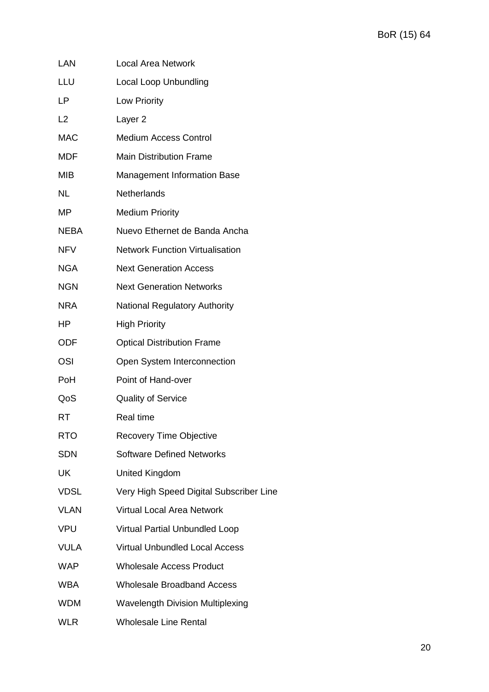| LAN            | <b>Local Area Network</b>               |
|----------------|-----------------------------------------|
| LLU            | Local Loop Unbundling                   |
| LP             | Low Priority                            |
| L <sub>2</sub> | Layer <sub>2</sub>                      |
| <b>MAC</b>     | <b>Medium Access Control</b>            |
| MDF            | <b>Main Distribution Frame</b>          |
| MIB            | <b>Management Information Base</b>      |
| <b>NL</b>      | <b>Netherlands</b>                      |
| MP             | <b>Medium Priority</b>                  |
| <b>NEBA</b>    | Nuevo Ethernet de Banda Ancha           |
| NFV.           | <b>Network Function Virtualisation</b>  |
| <b>NGA</b>     | <b>Next Generation Access</b>           |
| <b>NGN</b>     | <b>Next Generation Networks</b>         |
| NRA            | <b>National Regulatory Authority</b>    |
| ΗP             | <b>High Priority</b>                    |
| ODF            | <b>Optical Distribution Frame</b>       |
| OSI            | Open System Interconnection             |
| PoH            | Point of Hand-over                      |
| QoS            | <b>Quality of Service</b>               |
| RT             | Real time                               |
| <b>RTO</b>     | <b>Recovery Time Objective</b>          |
| <b>SDN</b>     | <b>Software Defined Networks</b>        |
| UK             | United Kingdom                          |
| <b>VDSL</b>    | Very High Speed Digital Subscriber Line |
| <b>VLAN</b>    | <b>Virtual Local Area Network</b>       |
| <b>VPU</b>     | <b>Virtual Partial Unbundled Loop</b>   |
| <b>VULA</b>    | <b>Virtual Unbundled Local Access</b>   |
| <b>WAP</b>     | <b>Wholesale Access Product</b>         |
| <b>WBA</b>     | <b>Wholesale Broadband Access</b>       |
| <b>WDM</b>     | <b>Wavelength Division Multiplexing</b> |
| <b>WLR</b>     | <b>Wholesale Line Rental</b>            |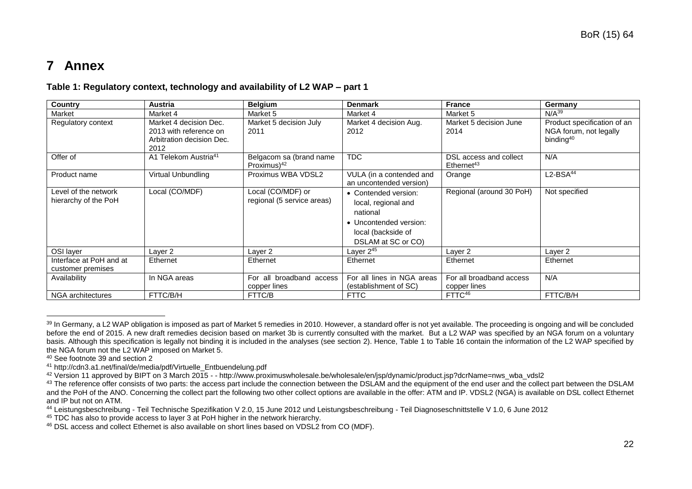## **7 Annex**

#### <span id="page-22-3"></span><span id="page-22-2"></span>**Table 1: Regulatory context, technology and availability of L2 WAP – part 1**

| <b>Country</b>                               | <b>Austria</b>                                                                        | <b>Belgium</b>                                  | <b>Denmark</b>                                                                                                                | <b>France</b>                                       | Germany                                                               |
|----------------------------------------------|---------------------------------------------------------------------------------------|-------------------------------------------------|-------------------------------------------------------------------------------------------------------------------------------|-----------------------------------------------------|-----------------------------------------------------------------------|
| Market                                       | Market 4                                                                              | Market 5                                        | Market 4                                                                                                                      | Market 5                                            | $N/A^{39}$                                                            |
| Regulatory context                           | Market 4 decision Dec.<br>2013 with reference on<br>Arbitration decision Dec.<br>2012 | Market 5 decision July<br>2011                  | Market 4 decision Aug.<br>2012                                                                                                | Market 5 decision June<br>2014                      | Product specification of an<br>NGA forum, not legally<br>binding $40$ |
| Offer of                                     | A1 Telekom Austria <sup>41</sup>                                                      | Belgacom sa (brand name<br>Proximus $)^{42}$    | <b>TDC</b>                                                                                                                    | DSL access and collect<br>$E$ thernet <sup>43</sup> | N/A                                                                   |
| Product name                                 | Virtual Unbundling                                                                    | Proximus WBA VDSL2                              | VULA (in a contended and<br>an uncontended version)                                                                           | Orange                                              | $L2$ -BSA $44$                                                        |
| Level of the network<br>hierarchy of the PoH | Local (CO/MDF)                                                                        | Local (CO/MDF) or<br>regional (5 service areas) | • Contended version:<br>local, regional and<br>national<br>• Uncontended version:<br>local (backside of<br>DSLAM at SC or CO) | Regional (around 30 PoH)                            | Not specified                                                         |
| OSI layer                                    | Layer 2                                                                               | Layer 2                                         | Layer $2^{45}$                                                                                                                | Layer 2                                             | Layer 2                                                               |
| Interface at PoH and at<br>customer premises | Ethernet                                                                              | Ethernet                                        | Ethernet                                                                                                                      | Ethernet                                            | Ethernet                                                              |
| Availability                                 | In NGA areas                                                                          | For all broadband access<br>copper lines        | For all lines in NGA areas<br>(establishment of SC)                                                                           | For all broadband access<br>copper lines            | N/A                                                                   |
| NGA architectures                            | FTTC/B/H                                                                              | FTTC/B                                          | <b>FTTC</b>                                                                                                                   | FTTC <sup>46</sup>                                  | FTTC/B/H                                                              |

<span id="page-22-1"></span><span id="page-22-0"></span> <sup>39</sup> In Germany, a L2 WAP obligation is imposed as part of Market 5 remedies in 2010. However, a standard offer is not yet available. The proceeding is ongoing and will be concluded before the end of 2015. A new draft remedies decision based on market 3b is currently consulted with the market. But a L2 WAP was specified by an NGA forum on a voluntary basis. Although this specification is legally not binding it is included in the analyses (see section [2\)](#page-4-2). Hence, [Table 1](#page-22-2) to [Table 16](#page-38-1) contain the information of the L2 WAP specified by the NGA forum not the L2 WAP imposed on Market 5.

<sup>40</sup> See footnote [39](#page-22-3) and sectio[n 2](#page-4-2)

<sup>41</sup> http://cdn3.a1.net/final/de/media/pdf/Virtuelle\_Entbuendelung.pdf

<sup>42</sup> Version 11 approved by BIPT on 3 March 2015 - - http://www.proximuswholesale.be/wholesale/en/jsp/dynamic/product.jsp?dcrName=nws\_wba\_vdsl2

<sup>&</sup>lt;sup>43</sup> The reference offer consists of two parts: the access part include the connection between the DSLAM and the equipment of the end user and the collect part between the DSLAM and the PoH of the ANO. Concerning the collect part the following two other collect options are available in the offer: ATM and IP. VDSL2 (NGA) is available on DSL collect Ethernet and IP but not on ATM.

<sup>44</sup> Leistungsbeschreibung - Teil Technische Spezifikation V 2.0, 15 June 2012 und Leistungsbeschreibung - Teil Diagnoseschnittstelle V 1.0, 6 June 2012

<sup>45</sup> TDC has also to provide access to layer 3 at PoH higher in the network hierarchy.

<sup>46</sup> DSL access and collect Ethernet is also available on short lines based on VDSL2 from CO (MDF).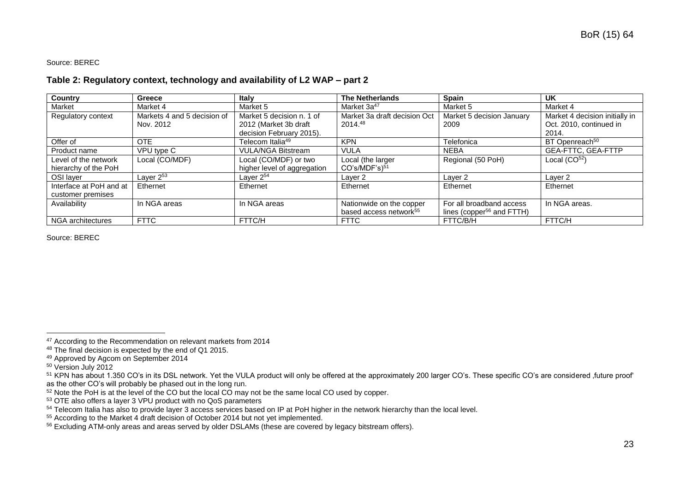#### Source: BEREC

#### **Table 2: Regulatory context, technology and availability of L2 WAP – part 2**

| Country                 | Greece                      | Italy                        | <b>The Netherlands</b>             | <b>Spain</b>                          | UK                             |
|-------------------------|-----------------------------|------------------------------|------------------------------------|---------------------------------------|--------------------------------|
| Market                  | Market 4                    | Market 5                     | Market 3a <sup>47</sup>            | Market 5                              | Market 4                       |
| Regulatory context      | Markets 4 and 5 decision of | Market 5 decision n. 1 of    | Market 3a draft decision Oct       | Market 5 decision January             | Market 4 decision initially in |
|                         | Nov. 2012                   | 2012 (Market 3b draft        | 2014.48                            | 2009                                  | Oct. 2010, continued in        |
|                         |                             | decision February 2015).     |                                    |                                       | 2014.                          |
| Offer of                | <b>OTE</b>                  | Telecom Italia <sup>49</sup> | <b>KPN</b>                         | Telefonica                            | BT Openreach <sup>50</sup>     |
| Product name            | VPU type C                  | <b>VULA/NGA Bitstream</b>    | <b>VULA</b>                        | <b>NEBA</b>                           | GEA-FTTC, GEA-FTTP             |
| Level of the network    | Local (CO/MDF)              | Local (CO/MDF) or two        | Local (the larger                  | Regional (50 PoH)                     | Local $(CO52)$                 |
| hierarchy of the PoH    |                             | higher level of aggregation  | $CO's/MDF's$ <sup>51</sup>         |                                       |                                |
| OSI layer               | Layer $2^{53}$              | Layer $2^{54}$               | Laver 2                            | Layer 2                               | Laver 2                        |
| Interface at PoH and at | Ethernet                    | Ethernet                     | Ethernet                           | Ethernet                              | Ethernet                       |
| customer premises       |                             |                              |                                    |                                       |                                |
| Availability            | In NGA areas                | In NGA areas                 | Nationwide on the copper           | For all broadband access              | In NGA areas.                  |
|                         |                             |                              | based access network <sup>55</sup> | lines (copper <sup>56</sup> and FTTH) |                                |
| NGA architectures       | <b>FTTC</b>                 | FTTC/H                       | <b>FTTC</b>                        | FTTC/B/H                              | FTTC/H                         |

<span id="page-23-0"></span>Source: BEREC

 $\overline{a}$ 

<sup>&</sup>lt;sup>47</sup> According to the Recommendation on relevant markets from 2014

<sup>48</sup> The final decision is expected by the end of Q1 2015.

<sup>&</sup>lt;sup>49</sup> Approved by Agcom on September 2014

<sup>50</sup> Version July 2012

<sup>51</sup> KPN has about 1.350 CO's in its DSL network. Yet the VULA product will only be offered at the approximately 200 larger CO's. These specific CO's are considered ,future proof' as the other CO's will probably be phased out in the long run.

<sup>&</sup>lt;sup>52</sup> Note the PoH is at the level of the CO but the local CO may not be the same local CO used by copper.

<sup>53</sup> OTE also offers a layer 3 VPU product with no QoS parameters

<sup>54</sup> Telecom Italia has also to provide layer 3 access services based on IP at PoH higher in the network hierarchy than the local level.

<sup>55</sup> According to the Market 4 draft decision of October 2014 but not yet implemented.

<sup>56</sup> Excluding ATM-only areas and areas served by older DSLAMs (these are covered by legacy bitstream offers).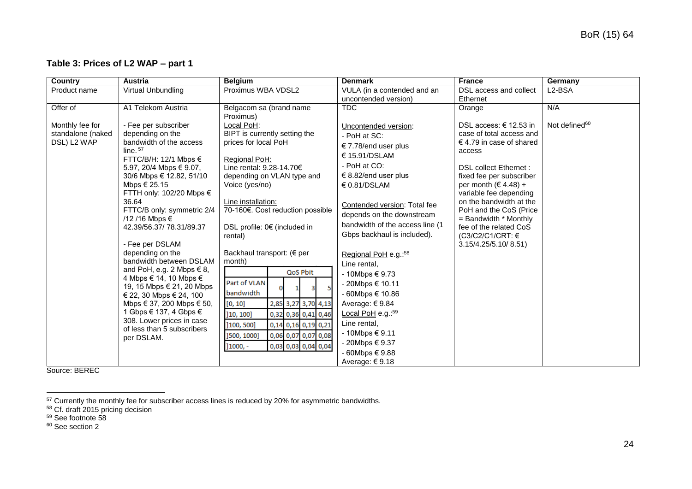#### **Table 3: Prices of L2 WAP – part 1**

| <b>Country</b>    | <b>Austria</b>                                          | <b>Belgium</b>                            | <b>Denmark</b>                   | France                       | Germany                   |
|-------------------|---------------------------------------------------------|-------------------------------------------|----------------------------------|------------------------------|---------------------------|
| Product name      | Virtual Unbundling                                      | Proximus WBA VDSL2                        | VULA (in a contended and an      | DSL access and collect       | L <sub>2</sub> -BSA       |
|                   |                                                         |                                           | uncontended version)             | Ethernet                     |                           |
| Offer of          | A1 Telekom Austria                                      | Belgacom sa (brand name                   | <b>TDC</b>                       | Orange                       | N/A                       |
|                   |                                                         | Proximus)                                 |                                  |                              |                           |
| Monthly fee for   | - Fee per subscriber                                    | Local PoH:                                | Uncontended version:             | DSL access: € 12.53 in       | Not defined <sup>60</sup> |
| standalone (naked | depending on the                                        | BIPT is currently setting the             | - PoH at SC:                     | case of total access and     |                           |
| DSL) L2 WAP       | bandwidth of the access                                 | prices for local PoH                      | $\epsilon$ 7.78/end user plus    | € 4.79 in case of shared     |                           |
|                   | line. $57$<br>FTTC/B/H: 12/1 Mbps €                     |                                           | € 15.91/DSLAM                    | access                       |                           |
|                   | 5.97, 20/4 Mbps € 9.07,                                 | Regional PoH:<br>Line rental: 9.28-14.70€ | - PoH at CO:                     | <b>DSL collect Ethernet:</b> |                           |
|                   | 30/6 Mbps € 12.82, 51/10                                | depending on VLAN type and                | € 8.82/end user plus             | fixed fee per subscriber     |                           |
|                   | Mbps € 25.15                                            | Voice (yes/no)                            | $\epsilon$ 0.81/DSLAM            | per month ( $\in$ 4.48) +    |                           |
|                   | FTTH only: 102/20 Mbps €                                |                                           |                                  | variable fee depending       |                           |
|                   | 36.64                                                   | Line installation:                        | Contended version: Total fee     | on the bandwidth at the      |                           |
|                   | FTTC/B only: symmetric 2/4                              | 70-160€. Cost reduction possible          |                                  | PoH and the CoS (Price       |                           |
|                   | /12 /16 Mbps €                                          |                                           | depends on the downstream        | $=$ Bandwidth $*$ Monthly    |                           |
|                   | 42.39/56.37/ 78.31/89.37                                | DSL profile: 0€ (included in              | bandwidth of the access line (1  | fee of the related CoS       |                           |
|                   |                                                         | rental)                                   | Gbps backhaul is included).      | (C3/C2/C1/CRT: €             |                           |
|                   | - Fee per DSLAM                                         |                                           |                                  | 3.15/4.25/5.10/8.51          |                           |
|                   | depending on the<br>bandwidth between DSLAM             | Backhaul transport: $(\epsilon)$ per      | Regional PoH e.g.: <sup>58</sup> |                              |                           |
|                   |                                                         | month)                                    | Line rental.                     |                              |                           |
|                   | and PoH, e.g. 2 Mbps $\in$ 8,<br>4 Mbps € 14, 10 Mbps € | QoS Pbit                                  | - 10Mbps $€ 9.73$                |                              |                           |
|                   | 19, 15 Mbps € 21, 20 Mbps                               | <b>Part of VLAN</b>                       | - 20Mbps € 10.11                 |                              |                           |
|                   | € 22, 30 Mbps € 24, 100                                 | bandwidth                                 | - 60Mbps € 10.86                 |                              |                           |
|                   | Mbps € 37, 200 Mbps € 50,                               | 2,85 3,27 3,70 4,13<br>[0, 10]            | Average: €9.84                   |                              |                           |
|                   | 1 Gbps € 137, 4 Gbps €                                  | 0,32 0,36 0,41 0,46<br>]10, 100]          | Local PoH e.g.: <sup>59</sup>    |                              |                           |
|                   | 308. Lower prices in case                               | ]100,500]<br>0,14 0,16 0,19 0,21          | Line rental,                     |                              |                           |
|                   | of less than 5 subscribers                              |                                           | - 10Mbps € 9.11                  |                              |                           |
|                   | per DSLAM.                                              | 0,06 0,07 0,07 0,08<br>]500, 1000]        | - 20Mbps € 9.37                  |                              |                           |
|                   |                                                         | $]1000,-$<br>0,03 0,03 0,04 0,04          | - 60Mbps € 9.88                  |                              |                           |
|                   |                                                         |                                           | Average: $€ 9.18$                |                              |                           |

<span id="page-24-1"></span><span id="page-24-0"></span>Source: BEREC

 $\overline{a}$ 

 $57$  Currently the monthly fee for subscriber access lines is reduced by 20% for asymmetric bandwidths.

<sup>58</sup> Cf. draft 2015 pricing decision

<sup>59</sup> See footnote [58](#page-24-1)

<sup>&</sup>lt;sup>60</sup> See section [2](#page-4-2)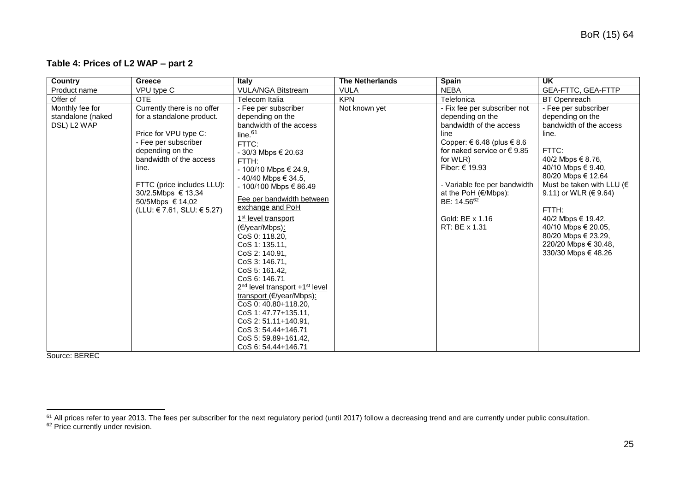#### **Table 4: Prices of L2 WAP – part 2**

| Country                                             | Greece                                                                                                                                                                                                                                                                  | Italy                                                                                                                                                                                                                                                                                                                                                                                                                                                                                                                                                                                                                                                               | <b>The Netherlands</b> | <b>Spain</b>                                                                                                                                                                                                                                                                                                         | <b>UK</b>                                                                                                                                                                                                                                                                                                                                               |
|-----------------------------------------------------|-------------------------------------------------------------------------------------------------------------------------------------------------------------------------------------------------------------------------------------------------------------------------|---------------------------------------------------------------------------------------------------------------------------------------------------------------------------------------------------------------------------------------------------------------------------------------------------------------------------------------------------------------------------------------------------------------------------------------------------------------------------------------------------------------------------------------------------------------------------------------------------------------------------------------------------------------------|------------------------|----------------------------------------------------------------------------------------------------------------------------------------------------------------------------------------------------------------------------------------------------------------------------------------------------------------------|---------------------------------------------------------------------------------------------------------------------------------------------------------------------------------------------------------------------------------------------------------------------------------------------------------------------------------------------------------|
| Product name                                        | $VPU$ type $C$                                                                                                                                                                                                                                                          | <b>VULA/NGA Bitstream</b>                                                                                                                                                                                                                                                                                                                                                                                                                                                                                                                                                                                                                                           | <b>VULA</b>            | <b>NEBA</b>                                                                                                                                                                                                                                                                                                          | GEA-FTTC, GEA-FTTP                                                                                                                                                                                                                                                                                                                                      |
| Offer of                                            | <b>OTE</b>                                                                                                                                                                                                                                                              | Telecom Italia                                                                                                                                                                                                                                                                                                                                                                                                                                                                                                                                                                                                                                                      | <b>KPN</b>             | Telefonica                                                                                                                                                                                                                                                                                                           | <b>BT Openreach</b>                                                                                                                                                                                                                                                                                                                                     |
| Monthly fee for<br>standalone (naked<br>DSL) L2 WAP | Currently there is no offer<br>for a standalone product.<br>Price for VPU type C:<br>- Fee per subscriber<br>depending on the<br>bandwidth of the access<br>line.<br>FTTC (price includes LLU):<br>30/2.5Mbps € 13,34<br>50/5Mbps € 14,02<br>(LLU: € 7.61, SLU: € 5.27) | - Fee per subscriber<br>depending on the<br>bandwidth of the access<br>line <sup>61</sup><br>FTTC:<br>- 30/3 Mbps € 20.63<br>FTTH:<br>- 100/10 Mbps € 24.9,<br>$-40/40$ Mbps € 34.5,<br>- 100/100 Mbps € 86.49<br>Fee per bandwidth between<br>exchange and PoH<br>1 <sup>st</sup> level transport<br>$(\epsilon$ /year/Mbps):<br>CoS 0: 118.20,<br>CoS 1: 135.11,<br>CoS 2: 140.91,<br>CoS 3: 146.71,<br>CoS 5: 161.42,<br>CoS 6: 146.71<br>$2nd$ level transport +1 <sup>st</sup> level<br>transport (€/year/Mbps):<br>CoS 0: 40.80+118.20,<br>CoS 1: 47.77+135.11.<br>CoS 2: 51.11+140.91,<br>CoS 3: 54.44+146.71<br>CoS 5: 59.89+161.42,<br>CoS 6: 54.44+146.71 | Not known yet          | - Fix fee per subscriber not<br>depending on the<br>bandwidth of the access<br>line<br>Copper: $\in$ 6.48 (plus $\in$ 8.6<br>for naked service or $\epsilon$ 9.85<br>for WLR)<br>Fiber: € 19.93<br>- Variable fee per bandwidth<br>at the PoH $(\epsilon/Mbps)$ :<br>BE: 14.5662<br>Gold: BE x 1.16<br>RT: BE x 1.31 | - Fee per subscriber<br>depending on the<br>bandwidth of the access<br>line.<br>FTTC:<br>40/2 Mbps € 8.76,<br>40/10 Mbps € 9.40,<br>80/20 Mbps € 12.64<br>Must be taken with LLU ( $\epsilon$<br>9.11) or WLR ( $\in$ 9.64)<br>FTTH:<br>40/2 Mbps € 19.42,<br>40/10 Mbps € 20.05,<br>80/20 Mbps € 23.29,<br>220/20 Mbps € 30.48,<br>330/30 Mbps € 48.26 |

<span id="page-25-0"></span>Source: BEREC

<sup>&</sup>lt;sup>61</sup> All prices refer to year 2013. The fees per subscriber for the next regulatory period (until 2017) follow a decreasing trend and are currently under public consultation. <sup>62</sup> Price currently under revision.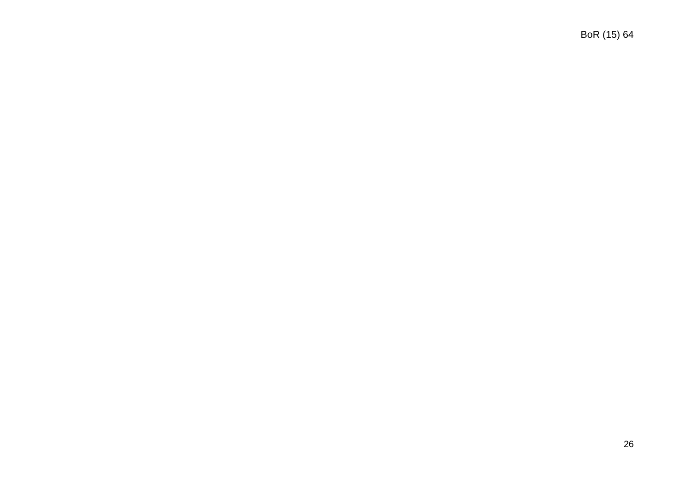BoR (15) 64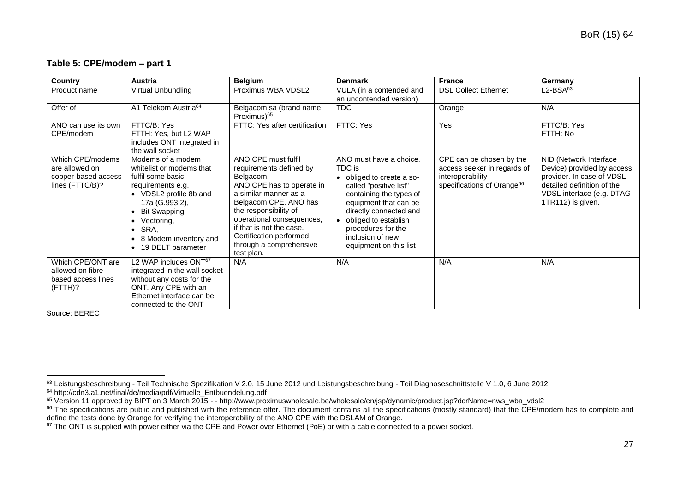#### **Table 5: CPE/modem – part 1**

| Country                                                                      | <b>Austria</b>                                                                                                                                                                                                                                             | <b>Belgium</b>                                                                                                                                                                                                                                                                                   | <b>Denmark</b>                                                                                                                                                                                                                                                   | <b>France</b>                                                                                                         | Germany                                                                                                                                                           |
|------------------------------------------------------------------------------|------------------------------------------------------------------------------------------------------------------------------------------------------------------------------------------------------------------------------------------------------------|--------------------------------------------------------------------------------------------------------------------------------------------------------------------------------------------------------------------------------------------------------------------------------------------------|------------------------------------------------------------------------------------------------------------------------------------------------------------------------------------------------------------------------------------------------------------------|-----------------------------------------------------------------------------------------------------------------------|-------------------------------------------------------------------------------------------------------------------------------------------------------------------|
| Product name                                                                 | Virtual Unbundling                                                                                                                                                                                                                                         | Proximus WBA VDSL2                                                                                                                                                                                                                                                                               | VULA (in a contended and<br>an uncontended version)                                                                                                                                                                                                              | <b>DSL Collect Ethernet</b>                                                                                           | $L2$ -BSA $63$                                                                                                                                                    |
| Offer of                                                                     | A1 Telekom Austria <sup>64</sup>                                                                                                                                                                                                                           | Belgacom sa (brand name<br>$Proximus)$ <sup>65</sup>                                                                                                                                                                                                                                             | <b>TDC</b>                                                                                                                                                                                                                                                       | Orange                                                                                                                | N/A                                                                                                                                                               |
| ANO can use its own<br>CPE/modem                                             | FTTC/B: Yes<br>FTTH: Yes, but L2 WAP<br>includes ONT integrated in<br>the wall socket                                                                                                                                                                      | FTTC: Yes after certification                                                                                                                                                                                                                                                                    | FTTC: Yes                                                                                                                                                                                                                                                        | Yes                                                                                                                   | FTTC/B: Yes<br>FTTH: No                                                                                                                                           |
| Which CPE/modems<br>are allowed on<br>copper-based access<br>lines (FTTC/B)? | Modems of a modem<br>whitelist or modems that<br>fulfil some basic<br>requirements e.g.<br>• VDSL2 profile 8b and<br>17a (G.993.2),<br><b>Bit Swapping</b><br>Vectoring,<br>$\bullet$<br>SRA,<br>$\bullet$<br>8 Modem inventory and<br>• 19 DELT parameter | ANO CPE must fulfil<br>requirements defined by<br>Belgacom.<br>ANO CPE has to operate in<br>a similar manner as a<br>Belgacom CPE. ANO has<br>the responsibility of<br>operational consequences,<br>if that is not the case.<br>Certification performed<br>through a comprehensive<br>test plan. | ANO must have a choice.<br>TDC is<br>obliged to create a so-<br>called "positive list"<br>containing the types of<br>equipment that can be<br>directly connected and<br>obliged to establish<br>procedures for the<br>inclusion of new<br>equipment on this list | CPE can be chosen by the<br>access seeker in regards of<br>interoperability<br>specifications of Orange <sup>66</sup> | NID (Network Interface<br>Device) provided by access<br>provider. In case of VDSL<br>detailed definition of the<br>VDSL interface (e.g. DTAG<br>1TR112) is given. |
| Which CPE/ONT are<br>allowed on fibre-<br>based access lines<br>(FTTH)?      | L <sub>2</sub> WAP includes $ONT67$<br>integrated in the wall socket<br>without any costs for the<br>ONT. Any CPE with an<br>Ethernet interface can be<br>connected to the ONT                                                                             | N/A                                                                                                                                                                                                                                                                                              | N/A                                                                                                                                                                                                                                                              | N/A                                                                                                                   | N/A                                                                                                                                                               |

<span id="page-27-0"></span>Source: BEREC

 $\overline{a}$ 

<sup>63</sup> Leistungsbeschreibung - Teil Technische Spezifikation V 2.0, 15 June 2012 und Leistungsbeschreibung - Teil Diagnoseschnittstelle V 1.0, 6 June 2012

<sup>64</sup> http://cdn3.a1.net/final/de/media/pdf/Virtuelle\_Entbuendelung.pdf

<sup>&</sup>lt;sup>65</sup> Version 11 approved by BIPT on 3 March 2015 - - http://www.proximuswholesale.be/wholesale/en/jsp/dynamic/product.jsp?dcrName=nws\_wba\_vdsl2

<sup>&</sup>lt;sup>66</sup> The specifications are public and published with the reference offer. The document contains all the specifications (mostly standard) that the CPE/modem has to complete and define the tests done by Orange for verifying the interoperability of the ANO CPE with the DSLAM of Orange.

 $67$  The ONT is supplied with power either via the CPE and Power over Ethernet (PoE) or with a cable connected to a power socket.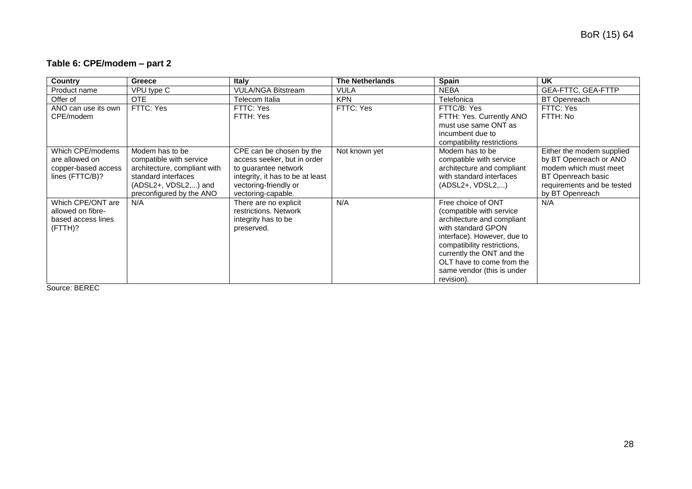#### **Table 6: CPE/modem – part 2**

| <b>Country</b>      | Greece                       | Italy                            | <b>The Netherlands</b> | <b>Spain</b>                | UK                         |
|---------------------|------------------------------|----------------------------------|------------------------|-----------------------------|----------------------------|
| Product name        | VPU type C                   | <b>VULA/NGA Bitstream</b>        | VULA                   | <b>NEBA</b>                 | GEA-FTTC, GEA-FTTP         |
| Offer of            | <b>OTE</b>                   | Telecom Italia                   | <b>KPN</b>             | Telefonica                  | <b>BT Openreach</b>        |
| ANO can use its own | FTTC: Yes                    | FTTC: Yes                        | FTTC: Yes              | FTTC/B: Yes                 | FTTC: Yes                  |
| CPE/modem           |                              | FTTH: Yes                        |                        | FTTH: Yes. Currently ANO    | FTTH: No                   |
|                     |                              |                                  |                        | must use same ONT as        |                            |
|                     |                              |                                  |                        | incumbent due to            |                            |
|                     |                              |                                  |                        | compatibility restrictions  |                            |
| Which CPE/modems    | Modem has to be              | CPE can be chosen by the         | Not known yet          | Modem has to be             | Either the modem supplied  |
| are allowed on      | compatible with service      | access seeker, but in order      |                        | compatible with service     | by BT Openreach or ANO     |
| copper-based access | architecture, compliant with | to guarantee network             |                        | architecture and compliant  | modem which must meet      |
| lines (FTTC/B)?     | standard interfaces          | integrity, it has to be at least |                        | with standard interfaces    | BT Openreach basic         |
|                     | (ADSL2+, VDSL2,) and         | vectoring-friendly or            |                        | $(ADSL2+, VDSL2,)$          | requirements and be tested |
|                     | preconfigured by the ANO     | vectoring-capable.               |                        |                             | by BT Openreach            |
| Which CPE/ONT are   | N/A                          | There are no explicit            | N/A                    | Free choice of ONT          | N/A                        |
| allowed on fibre-   |                              | restrictions. Network            |                        | (compatible with service    |                            |
| based access lines  |                              | integrity has to be              |                        | architecture and compliant  |                            |
| (FTTH)?             |                              | preserved.                       |                        | with standard GPON          |                            |
|                     |                              |                                  |                        | interface). However, due to |                            |
|                     |                              |                                  |                        | compatibility restrictions, |                            |
|                     |                              |                                  |                        | currently the ONT and the   |                            |
|                     |                              |                                  |                        | OLT have to come from the   |                            |
|                     |                              |                                  |                        | same vendor (this is under  |                            |
|                     |                              |                                  |                        | revision).                  |                            |

<span id="page-28-0"></span>Source: BEREC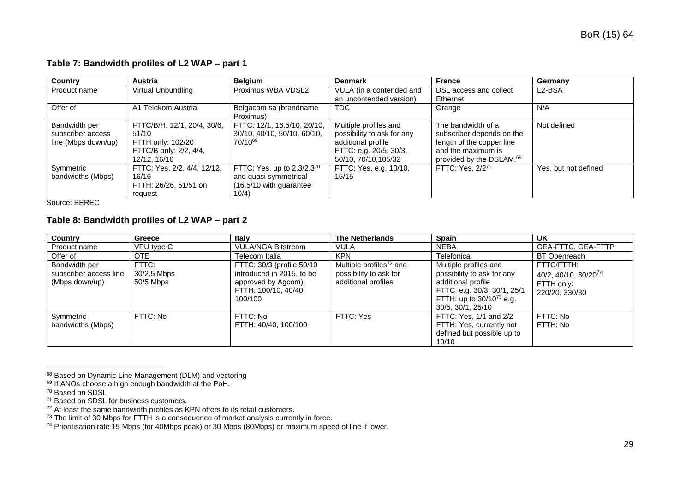### **Table 7: Bandwidth profiles of L2 WAP – part 1**

| Country                                                   | <b>Austria</b>                                                                                      | <b>Belgium</b>                                                                          | <b>Denmark</b>                                                                                                              | <b>France</b>                                                                                                                              | Germany              |
|-----------------------------------------------------------|-----------------------------------------------------------------------------------------------------|-----------------------------------------------------------------------------------------|-----------------------------------------------------------------------------------------------------------------------------|--------------------------------------------------------------------------------------------------------------------------------------------|----------------------|
| Product name                                              | Virtual Unbundling                                                                                  | Proximus WBA VDSL2                                                                      | VULA (in a contended and                                                                                                    | DSL access and collect                                                                                                                     | L <sub>2</sub> -BSA  |
|                                                           |                                                                                                     |                                                                                         | an uncontended version)                                                                                                     | Ethernet                                                                                                                                   |                      |
| Offer of                                                  | A1 Telekom Austria                                                                                  | Belgacom sa (brandname<br>Proximus)                                                     | TDC                                                                                                                         | Orange                                                                                                                                     | N/A                  |
| Bandwidth per<br>subscriber access<br>line (Mbps down/up) | FTTC/B/H: 12/1, 20/4, 30/6,<br>51/10<br>FTTH only: 102/20<br>FTTC/B only: 2/2, 4/4,<br>12/12, 16/16 | FTTC: 12/1, 16.5/10, 20/10,<br>30/10, 40/10, 50/10, 60/10,<br>70/10 <sup>68</sup>       | Multiple profiles and<br>possibility to ask for any<br>additional profile<br>FTTC: e.g. 20/5, 30/3,<br>50/10, 70/10, 105/32 | The bandwidth of a<br>subscriber depends on the<br>length of the copper line<br>and the maximum is<br>provided by the DSLAM. <sup>69</sup> | Not defined          |
| Symmetric<br>bandwidths (Mbps)                            | FTTC: Yes, 2/2, 4/4, 12/12,<br>16/16<br>FTTH: 26/26, 51/51 on<br>request                            | FTTC: Yes, up to 2.3/2.370<br>and quasi symmetrical<br>(16.5/10 with guarantee<br>10/4) | FTTC: Yes, e.g. 10/10,<br>15/15                                                                                             | FTTC: Yes. 2/271                                                                                                                           | Yes, but not defined |

Source: BEREC

#### **Table 8: Bandwidth profiles of L2 WAP – part 2**

<span id="page-29-0"></span>

| <b>Country</b>         | Greece      | Italy                     | <b>The Netherlands</b>              | <b>Spain</b>                  | UK                               |
|------------------------|-------------|---------------------------|-------------------------------------|-------------------------------|----------------------------------|
| Product name           | VPU type C  | <b>VULA/NGA Bitstream</b> | <b>VULA</b>                         | <b>NEBA</b>                   | GEA-FTTC, GEA-FTTP               |
| Offer of               | OTE         | Telecom Italia            | <b>KPN</b>                          | Telefonica                    | <b>BT Openreach</b>              |
| Bandwidth per          | FTTC:       | FTTC: 30/3 (profile 50/10 | Multiple profiles <sup>72</sup> and | Multiple profiles and         | FTTC/FTTH:                       |
| subscriber access line | 30/2.5 Mbps | introduced in 2015, to be | possibility to ask for              | possibility to ask for any    | 40/2, 40/10, 80/20 <sup>74</sup> |
| (Mbps down/up)         | 50/5 Mbps   | approved by Agcom).       | additional profiles                 | additional profile            | FTTH only:                       |
|                        |             | FTTH: 100/10, 40/40,      |                                     | FTTC: e.g. 30/3, 30/1, 25/1   | 220/20, 330/30                   |
|                        |             | 100/100                   |                                     | FTTH: up to $30/10^{73}$ e.g. |                                  |
|                        |             |                           |                                     | 30/5, 30/1, 25/10             |                                  |
| Symmetric              | FTTC: No    | FTTC: No                  | FTTC: Yes                           | FTTC: Yes, 1/1 and 2/2        | FTTC: No                         |
| bandwidths (Mbps)      |             | FTTH: 40/40, 100/100      |                                     | FTTH: Yes, currently not      | FTTH: No                         |
|                        |             |                           |                                     | defined but possible up to    |                                  |
|                        |             |                           |                                     | 10/10                         |                                  |

<sup>68</sup> Based on Dynamic Line Management (DLM) and vectoring

 $69$  If ANOs choose a high enough bandwidth at the PoH.

<sup>70</sup> Based on SDSL

<sup>71</sup> Based on SDSL for business customers.

 $72$  At least the same bandwidth profiles as KPN offers to its retail customers.

<span id="page-29-1"></span> $73$  The limit of 30 Mbps for FTTH is a consequence of market analysis currently in force.

<sup>&</sup>lt;sup>74</sup> Prioritisation rate 15 Mbps (for 40Mbps peak) or 30 Mbps (80Mbps) or maximum speed of line if lower.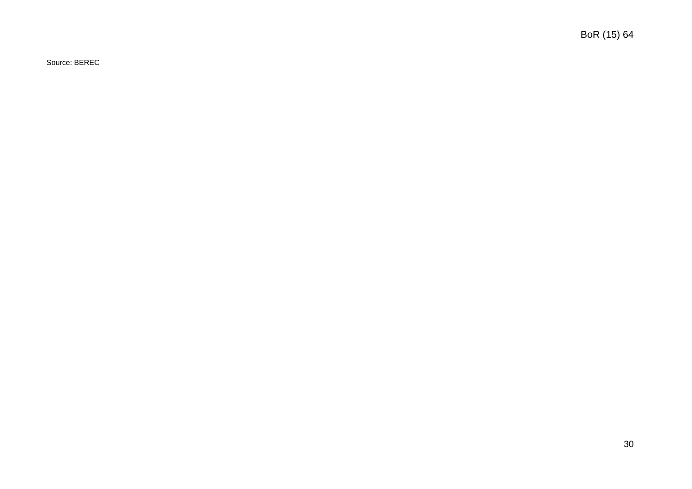Source: BEREC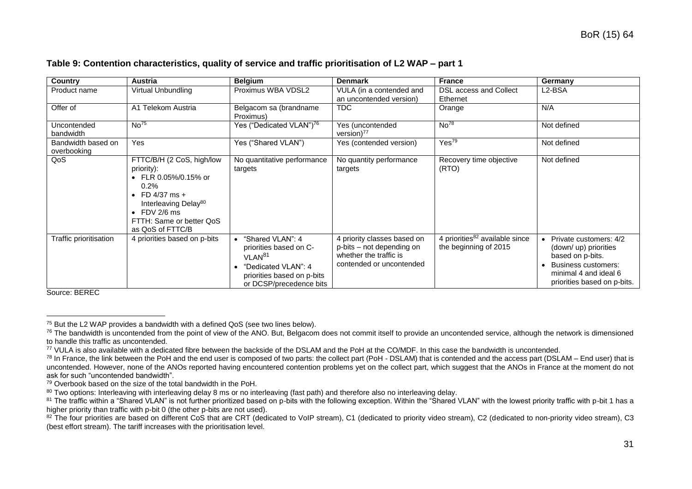| <b>Country</b>                    | Austria                                                                                                                                                                                                  | <b>Belgium</b>                                                                                                                                   | <b>Denmark</b>                                                                                                 | <b>France</b>                                                       | Germany                                                                                                                                                       |
|-----------------------------------|----------------------------------------------------------------------------------------------------------------------------------------------------------------------------------------------------------|--------------------------------------------------------------------------------------------------------------------------------------------------|----------------------------------------------------------------------------------------------------------------|---------------------------------------------------------------------|---------------------------------------------------------------------------------------------------------------------------------------------------------------|
| Product name                      | Virtual Unbundling                                                                                                                                                                                       | Proximus WBA VDSL2                                                                                                                               | VULA (in a contended and<br>an uncontended version)                                                            | DSL access and Collect<br>Ethernet                                  | L2-BSA                                                                                                                                                        |
| Offer of                          | A1 Telekom Austria                                                                                                                                                                                       | Belgacom sa (brandname<br>Proximus)                                                                                                              | TDC                                                                                                            | Orange                                                              | N/A                                                                                                                                                           |
| Uncontended<br>bandwidth          | No <sup>75</sup>                                                                                                                                                                                         | Yes ("Dedicated VLAN") <sup>76</sup>                                                                                                             | Yes (uncontended<br>version) $77$                                                                              | No <sup>78</sup>                                                    | Not defined                                                                                                                                                   |
| Bandwidth based on<br>overbooking | <b>Yes</b>                                                                                                                                                                                               | Yes ("Shared VLAN")                                                                                                                              | Yes (contended version)                                                                                        | Yes <sup>79</sup>                                                   | Not defined                                                                                                                                                   |
| QoS                               | FTTC/B/H (2 CoS, high/low<br>priority):<br>• FLR 0.05%/0.15% or<br>$0.2\%$<br>• FD 4/37 ms +<br>Interleaving Delay <sup>80</sup><br>$\bullet$ FDV 2/6 ms<br>FTTH: Same or better QoS<br>as QoS of FTTC/B | No quantitative performance<br>targets                                                                                                           | No quantity performance<br>targets                                                                             | Recovery time objective<br>(RTO)                                    | Not defined                                                                                                                                                   |
| Traffic prioritisation            | 4 priorities based on p-bits                                                                                                                                                                             | "Shared VLAN": 4<br>priorities based on C-<br>VLAN <sup>81</sup><br>"Dedicated VLAN": 4<br>priorities based on p-bits<br>or DCSP/precedence bits | 4 priority classes based on<br>p-bits – not depending on<br>whether the traffic is<br>contended or uncontended | 4 priorities <sup>82</sup> available since<br>the beginning of 2015 | • Private customers: $4/2$<br>(down/ up) priorities<br>based on p-bits.<br><b>Business customers:</b><br>minimal 4 and ideal 6<br>priorities based on p-bits. |

#### **Table 9: Contention characteristics, quality of service and traffic prioritisation of L2 WAP – part 1**

<span id="page-31-0"></span>Source: BEREC

 $75$  But the L2 WAP provides a bandwidth with a defined QoS (see two lines below).

<sup>&</sup>lt;sup>76</sup> The bandwidth is uncontended from the point of view of the ANO. But, Belgacom does not commit itself to provide an uncontended service, although the network is dimensioned to handle this traffic as uncontended.

<sup>77</sup> VULA is also available with a dedicated fibre between the backside of the DSLAM and the PoH at the CO/MDF. In this case the bandwidth is uncontended.

<sup>&</sup>lt;sup>78</sup> In France, the link between the PoH and the end user is composed of two parts: the collect part (PoH - DSLAM) that is contended and the access part (DSLAM – End user) that is uncontended. However, none of the ANOs reported having encountered contention problems yet on the collect part, which suggest that the ANOs in France at the moment do not ask for such "uncontended bandwidth".

<sup>79</sup> Overbook based on the size of the total bandwidth in the PoH.

<sup>80</sup> Two options: Interleaving with interleaving delay 8 ms or no interleaving (fast path) and therefore also no interleaving delay.

<sup>81</sup> The traffic within a "Shared VLAN" is not further prioritized based on p-bits with the following exception. Within the "Shared VLAN" with the lowest priority traffic with p-bit 1 has a higher priority than traffic with p-bit 0 (the other p-bits are not used).

<sup>&</sup>lt;sup>82</sup> The four priorities are based on different CoS that are CRT (dedicated to VoIP stream), C1 (dedicated to priority video stream), C2 (dedicated to non-priority video stream), C3 (best effort stream). The tariff increases with the prioritisation level.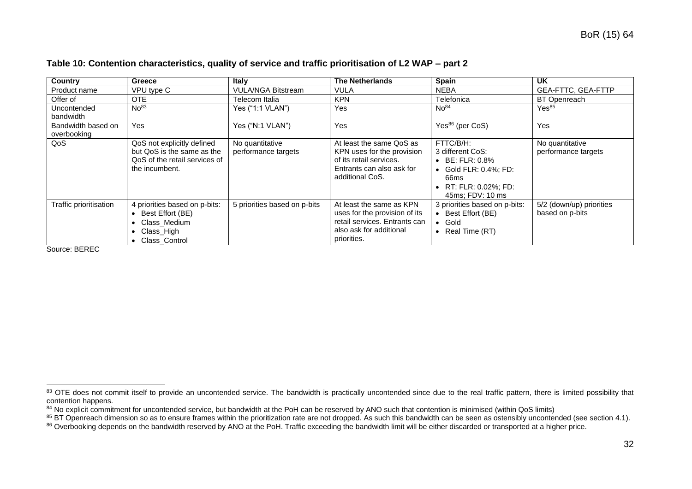| <b>Country</b>                    | Greece                                                                                                      | Italy                                  | <b>The Netherlands</b>                                                                                                               | <b>Spain</b>                                                                                                                                               | UK                                          |
|-----------------------------------|-------------------------------------------------------------------------------------------------------------|----------------------------------------|--------------------------------------------------------------------------------------------------------------------------------------|------------------------------------------------------------------------------------------------------------------------------------------------------------|---------------------------------------------|
| Product name                      | VPU type C                                                                                                  | <b>VULA/NGA Bitstream</b>              | VULA                                                                                                                                 | <b>NEBA</b>                                                                                                                                                | GEA-FTTC, GEA-FTTP                          |
| Offer of                          | <b>OTE</b>                                                                                                  | Telecom Italia                         | <b>KPN</b>                                                                                                                           | Telefonica                                                                                                                                                 | <b>BT</b> Openreach                         |
| Uncontended<br>bandwidth          | No <sup>83</sup>                                                                                            | Yes ("1:1 VLAN")                       | <b>Yes</b>                                                                                                                           | No <sup>84</sup>                                                                                                                                           | Yes <sup>85</sup>                           |
| Bandwidth based on<br>overbooking | <b>Yes</b>                                                                                                  | Yes ("N:1 VLAN")                       | <b>Yes</b>                                                                                                                           | Yes <sup>86</sup> (per CoS)                                                                                                                                | Yes                                         |
| QoS                               | QoS not explicitly defined<br>but QoS is the same as the<br>QoS of the retail services of<br>the incumbent. | No quantitative<br>performance targets | At least the same QoS as<br>KPN uses for the provision<br>of its retail services.<br>Entrants can also ask for<br>additional CoS.    | FTTC/B/H:<br>3 different CoS:<br>$\bullet$ BE: FLR: 0.8%<br>$\bullet$ Gold FLR: 0.4%; FD:<br>66 <sub>ms</sub><br>• RT: FLR: 0.02%; FD:<br>45ms; FDV: 10 ms | No quantitative<br>performance targets      |
| Traffic prioritisation<br>-----   | 4 priorities based on p-bits:<br>Best Effort (BE)<br>Class Medium<br>Class High<br>Class_Control            | 5 priorities based on p-bits           | At least the same as KPN<br>uses for the provision of its<br>retail services. Entrants can<br>also ask for additional<br>priorities. | 3 priorities based on p-bits:<br>• Best Effort (BE)<br>$\bullet$ Gold<br>• Real Time (RT)                                                                  | 5/2 (down/up) priorities<br>based on p-bits |

#### **Table 10: Contention characteristics, quality of service and traffic prioritisation of L2 WAP – part 2**

<span id="page-32-0"></span>Source: BEREC

<sup>&</sup>lt;sup>83</sup> OTE does not commit itself to provide an uncontended service. The bandwidth is practically uncontended since due to the real traffic pattern, there is limited possibility that contention happens.

<sup>&</sup>lt;sup>84</sup> No explicit commitment for uncontended service, but bandwidth at the PoH can be reserved by ANO such that contention is minimised (within QoS limits)

<sup>85</sup> BT Openreach dimension so as to ensure frames within the prioritization rate are not dropped. As such this bandwidth can be seen as ostensibly uncontended (see section [4.1\)](#page-9-3).

<sup>86</sup> Overbooking depends on the bandwidth reserved by ANO at the PoH. Traffic exceeding the bandwidth limit will be either discarded or transported at a higher price.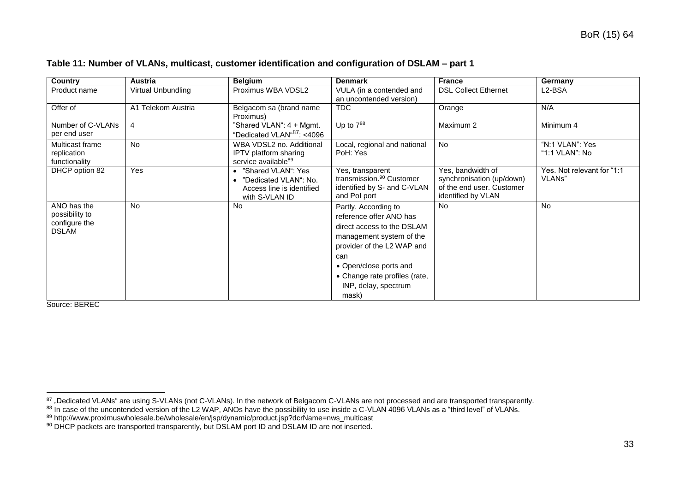| <b>Country</b>                                                 | <b>Austria</b>     | <b>Belgium</b>                                                                                            | <b>Denmark</b>                                                                                                                                                                                                                             | <b>France</b>                                                                                     | Germany                                           |
|----------------------------------------------------------------|--------------------|-----------------------------------------------------------------------------------------------------------|--------------------------------------------------------------------------------------------------------------------------------------------------------------------------------------------------------------------------------------------|---------------------------------------------------------------------------------------------------|---------------------------------------------------|
| Product name                                                   | Virtual Unbundling | Proximus WBA VDSL2                                                                                        | VULA (in a contended and<br>an uncontended version)                                                                                                                                                                                        | <b>DSL Collect Ethernet</b>                                                                       | L <sub>2</sub> -BSA                               |
| Offer of                                                       | A1 Telekom Austria | Belgacom sa (brand name<br>Proximus)                                                                      | TDC<br>Orange                                                                                                                                                                                                                              |                                                                                                   | N/A                                               |
| Number of C-VLANs<br>per end user                              | 4                  | "Shared VLAN": 4 + Mgmt.<br>"Dedicated VLAN" <sup>87</sup> : <4096                                        | Up to $7^{88}$                                                                                                                                                                                                                             | Maximum 2                                                                                         | Minimum 4                                         |
| Multicast frame<br>replication<br>functionality                | <b>No</b>          | WBA VDSL2 no. Additional<br>IPTV platform sharing<br>service available <sup>89</sup>                      | <b>No</b><br>Local, regional and national<br>PoH: Yes                                                                                                                                                                                      |                                                                                                   | "N:1 VLAN": Yes<br>"1:1 VLAN": No                 |
| DHCP option 82                                                 | Yes                | • "Shared VLAN": Yes<br>"Dedicated VLAN": No.<br>$\bullet$<br>Access line is identified<br>with S-VLAN ID | Yes, transparent<br>transmission. <sup>90</sup> Customer<br>identified by S- and C-VLAN<br>and Pol port                                                                                                                                    | Yes, bandwidth of<br>synchronisation (up/down)<br>of the end user. Customer<br>identified by VLAN | Yes. Not relevant for "1:1<br>VLAN <sub>s</sub> " |
| ANO has the<br>possibility to<br>configure the<br><b>DSLAM</b> | <b>No</b>          | <b>No</b>                                                                                                 | Partly. According to<br>reference offer ANO has<br>direct access to the DSLAM<br>management system of the<br>provider of the L2 WAP and<br>can<br>• Open/close ports and<br>• Change rate profiles (rate,<br>INP, delay, spectrum<br>mask) | <b>No</b>                                                                                         | <b>No</b>                                         |

#### **Table 11: Number of VLANs, multicast, customer identification and configuration of DSLAM – part 1**

<span id="page-33-0"></span>Source: BEREC

 $\overline{a}$ 

 $^{87}$  "Dedicated VLANs" are using S-VLANs (not C-VLANs). In the network of Belgacom C-VLANs are not processed and are transported transparently.

<sup>88</sup> In case of the uncontended version of the L2 WAP, ANOs have the possibility to use inside a C-VLAN 4096 VLANs as a "third level" of VLANs.

<sup>&</sup>lt;sup>89</sup> http://www.proximuswholesale.be/wholesale/en/jsp/dynamic/product.jsp?dcrName=nws\_multicast

 $90$  DHCP packets are transported transparently, but DSLAM port ID and DSLAM ID are not inserted.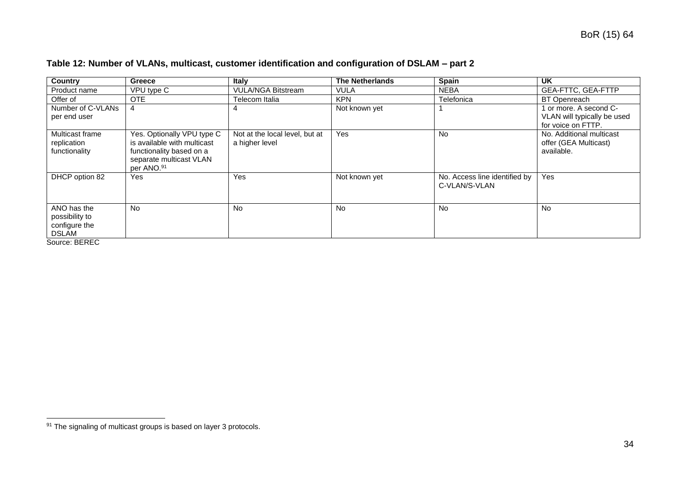| Country                                                        | Greece                                                                                                                                     | <b>Italy</b>                                     | <b>The Netherlands</b> | <b>Spain</b>                                   | UK                                                                          |
|----------------------------------------------------------------|--------------------------------------------------------------------------------------------------------------------------------------------|--------------------------------------------------|------------------------|------------------------------------------------|-----------------------------------------------------------------------------|
| Product name                                                   | VPU type C                                                                                                                                 | <b>VULA/NGA Bitstream</b>                        | <b>VULA</b>            | <b>NEBA</b>                                    | GEA-FTTC, GEA-FTTP                                                          |
| Offer of                                                       | OTE                                                                                                                                        | Telecom Italia                                   | <b>KPN</b>             | Telefonica                                     | <b>BT Openreach</b>                                                         |
| Number of C-VLANs<br>per end user                              | 4                                                                                                                                          | 4                                                | Not known yet          |                                                | 1 or more. A second C-<br>VLAN will typically be used<br>for voice on FTTP. |
| Multicast frame<br>replication<br>functionality                | Yes. Optionally VPU type C<br>is available with multicast<br>functionality based on a<br>separate multicast VLAN<br>per ANO. <sup>91</sup> | Not at the local level, but at<br>a higher level | Yes                    | No                                             | No. Additional multicast<br>offer (GEA Multicast)<br>available.             |
| DHCP option 82                                                 | <b>Yes</b>                                                                                                                                 | Yes                                              | Not known yet          | No. Access line identified by<br>C-VLAN/S-VLAN | <b>Yes</b>                                                                  |
| ANO has the<br>possibility to<br>configure the<br><b>DSLAM</b> | <b>No</b>                                                                                                                                  | No.                                              | <b>No</b>              | No                                             | <b>No</b>                                                                   |

#### **Table 12: Number of VLANs, multicast, customer identification and configuration of DSLAM – part 2**

<span id="page-34-0"></span>Source: BEREC

<sup>&</sup>lt;sup>91</sup> The signaling of multicast groups is based on layer 3 protocols.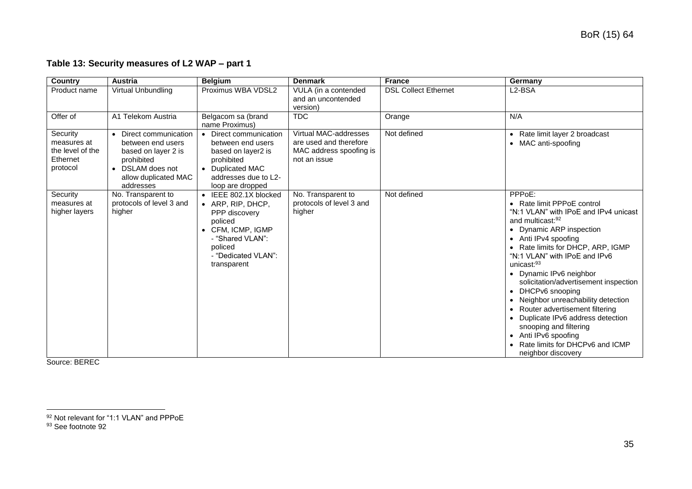#### **Table 13: Security measures of L2 WAP – part 1**

| Country                                                             | Austria                                                                                                                                   | <b>Belgium</b>                                                                                                                                                       | <b>Denmark</b>                                                                             | France                      | Germany                                                                                                                                                                                                                                                                                                                                                                                                                                                                                                                                                |
|---------------------------------------------------------------------|-------------------------------------------------------------------------------------------------------------------------------------------|----------------------------------------------------------------------------------------------------------------------------------------------------------------------|--------------------------------------------------------------------------------------------|-----------------------------|--------------------------------------------------------------------------------------------------------------------------------------------------------------------------------------------------------------------------------------------------------------------------------------------------------------------------------------------------------------------------------------------------------------------------------------------------------------------------------------------------------------------------------------------------------|
| Product name                                                        | Virtual Unbundling                                                                                                                        | Proximus WBA VDSL2                                                                                                                                                   | VULA (in a contended<br>and an uncontended<br>version)                                     | <b>DSL</b> Collect Ethernet | L <sub>2</sub> -BSA                                                                                                                                                                                                                                                                                                                                                                                                                                                                                                                                    |
| Offer of                                                            | A1 Telekom Austria                                                                                                                        | Belgacom sa (brand<br>name Proximus)                                                                                                                                 | <b>TDC</b>                                                                                 | Orange                      | N/A                                                                                                                                                                                                                                                                                                                                                                                                                                                                                                                                                    |
| Security<br>measures at<br>the level of the<br>Ethernet<br>protocol | • Direct communication<br>between end users<br>based on layer 2 is<br>prohibited<br>• DSLAM does not<br>allow duplicated MAC<br>addresses | • Direct communication<br>between end users<br>based on layer2 is<br>prohibited<br>• Duplicated MAC<br>addresses due to L2-<br>loop are dropped                      | Virtual MAC-addresses<br>are used and therefore<br>MAC address spoofing is<br>not an issue | Not defined                 | Rate limit layer 2 broadcast<br>$\bullet$<br>MAC anti-spoofing                                                                                                                                                                                                                                                                                                                                                                                                                                                                                         |
| Security<br>measures at<br>higher layers                            | No. Transparent to<br>protocols of level 3 and<br>higher                                                                                  | IEEE 802.1X blocked<br>$\bullet$ ARP, RIP, DHCP,<br>PPP discovery<br>policed<br>CFM, ICMP, IGMP<br>- "Shared VLAN":<br>policed<br>- "Dedicated VLAN":<br>transparent | No. Transparent to<br>protocols of level 3 and<br>higher                                   | Not defined                 | PPPoE:<br>• Rate limit PPPoE control<br>"N:1 VLAN" with IPoE and IPv4 unicast<br>and multicast: 92<br>• Dynamic ARP inspection<br>• Anti IPv4 spoofing<br>Rate limits for DHCP, ARP, IGMP<br>"N:1 VLAN" with IPoE and IPv6<br>unicast: $93$<br>• Dynamic IPv6 neighbor<br>solicitation/advertisement inspection<br>DHCPv6 snooping<br>Neighbor unreachability detection<br>Router advertisement filtering<br>Duplicate IPv6 address detection<br>snooping and filtering<br>Anti IPv6 spoofing<br>Rate limits for DHCPv6 and ICMP<br>neighbor discovery |

<span id="page-35-1"></span><span id="page-35-0"></span>Source: BEREC

<sup>92</sup> Not relevant for "1:1 VLAN" and PPPoE

<sup>&</sup>lt;sup>93</sup> See footnote [92](#page-35-1)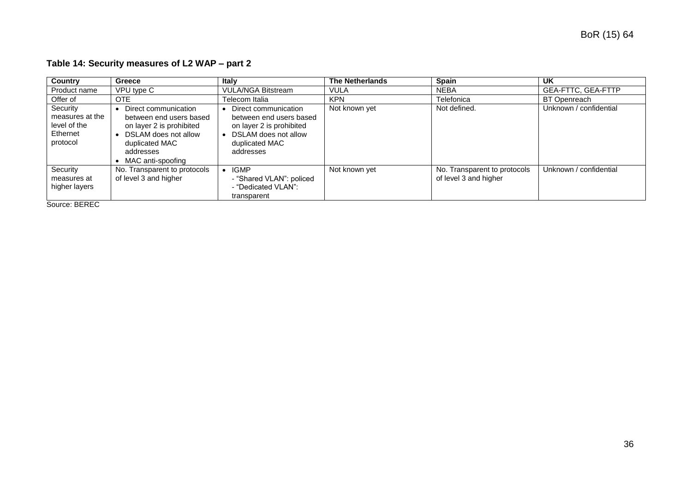### **Table 14: Security measures of L2 WAP – part 2**

| Country                                                             | Greece                                                                                                                                                  | Italy                                                                                                                              | <b>The Netherlands</b> | <b>Spain</b>                                          | UK                     |
|---------------------------------------------------------------------|---------------------------------------------------------------------------------------------------------------------------------------------------------|------------------------------------------------------------------------------------------------------------------------------------|------------------------|-------------------------------------------------------|------------------------|
| Product name                                                        | VPU type C                                                                                                                                              | <b>VULA/NGA Bitstream</b>                                                                                                          | <b>VULA</b>            | <b>NEBA</b>                                           | GEA-FTTC, GEA-FTTP     |
| Offer of                                                            | <b>OTE</b>                                                                                                                                              | Telecom Italia                                                                                                                     | <b>KPN</b>             | Telefonica                                            | <b>BT Openreach</b>    |
| Security<br>measures at the<br>level of the<br>Ethernet<br>protocol | Direct communication<br>between end users based<br>on layer 2 is prohibited<br>DSLAM does not allow<br>duplicated MAC<br>addresses<br>MAC anti-spoofing | Direct communication<br>between end users based<br>on layer 2 is prohibited<br>DSLAM does not allow<br>duplicated MAC<br>addresses | Not known yet          | Not defined.                                          | Unknown / confidential |
| Security<br>measures at<br>higher layers                            | No. Transparent to protocols<br>of level 3 and higher                                                                                                   | <b>IGMP</b><br>- "Shared VLAN": policed<br>- "Dedicated VLAN":<br>transparent                                                      | Not known yet          | No. Transparent to protocols<br>of level 3 and higher | Unknown / confidential |

<span id="page-36-0"></span>Source: BEREC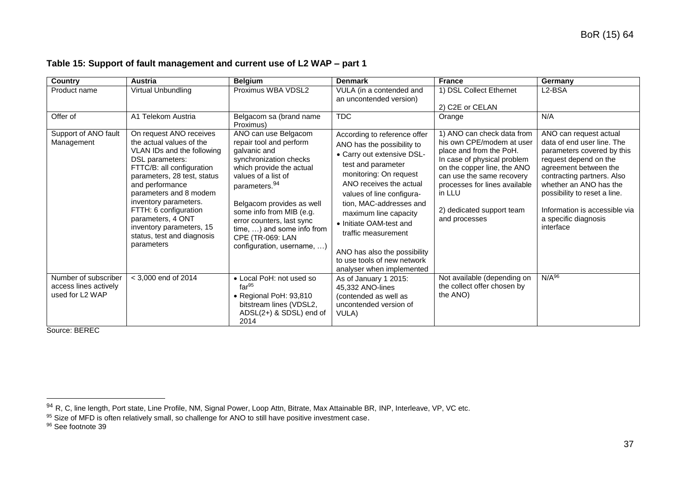| <b>Country</b>                                                   | Austria                                                                                                                                                                                                                                                                                                                                                      | <b>Belgium</b>                                                                                                                                                                                                                                                                                                                                                  | <b>Denmark</b>                                                                                                                                                                                                                                                                                                                                                                                     | <b>France</b>                                                                                                                                                                                                                                                          | Germany                                                                                                                                                                                                                                                                                            |
|------------------------------------------------------------------|--------------------------------------------------------------------------------------------------------------------------------------------------------------------------------------------------------------------------------------------------------------------------------------------------------------------------------------------------------------|-----------------------------------------------------------------------------------------------------------------------------------------------------------------------------------------------------------------------------------------------------------------------------------------------------------------------------------------------------------------|----------------------------------------------------------------------------------------------------------------------------------------------------------------------------------------------------------------------------------------------------------------------------------------------------------------------------------------------------------------------------------------------------|------------------------------------------------------------------------------------------------------------------------------------------------------------------------------------------------------------------------------------------------------------------------|----------------------------------------------------------------------------------------------------------------------------------------------------------------------------------------------------------------------------------------------------------------------------------------------------|
| Product name                                                     | Virtual Unbundling                                                                                                                                                                                                                                                                                                                                           | Proximus WBA VDSL2                                                                                                                                                                                                                                                                                                                                              | VULA (in a contended and<br>an uncontended version)                                                                                                                                                                                                                                                                                                                                                | 1) DSL Collect Ethernet<br>2) C2E or CELAN                                                                                                                                                                                                                             | L <sub>2</sub> -BSA                                                                                                                                                                                                                                                                                |
| Offer of                                                         | A1 Telekom Austria                                                                                                                                                                                                                                                                                                                                           | Belgacom sa (brand name<br>Proximus)                                                                                                                                                                                                                                                                                                                            | TDC                                                                                                                                                                                                                                                                                                                                                                                                | Orange                                                                                                                                                                                                                                                                 | N/A                                                                                                                                                                                                                                                                                                |
| Support of ANO fault<br>Management                               | On request ANO receives<br>the actual values of the<br>VLAN IDs and the following<br>DSL parameters:<br>FTTC/B: all configuration<br>parameters, 28 test, status<br>and performance<br>parameters and 8 modem<br>inventory parameters.<br>FTTH: 6 configuration<br>parameters, 4 ONT<br>inventory parameters, 15<br>status, test and diagnosis<br>parameters | ANO can use Belgacom<br>repair tool and perform<br>galvanic and<br>synchronization checks<br>which provide the actual<br>values of a list of<br>parameters. <sup>94</sup><br>Belgacom provides as well<br>some info from MIB (e.g.<br>error counters, last sync<br>$time, \ldots$ ) and some info from<br><b>CPE (TR-069: LAN</b><br>configuration, username, ) | According to reference offer<br>ANO has the possibility to<br>• Carry out extensive DSL-<br>test and parameter<br>monitoring: On request<br>ANO receives the actual<br>values of line configura-<br>tion, MAC-addresses and<br>maximum line capacity<br>• Initiate OAM-test and<br>traffic measurement<br>ANO has also the possibility<br>to use tools of new network<br>analyser when implemented | 1) ANO can check data from<br>his own CPE/modem at user<br>place and from the PoH.<br>In case of physical problem<br>on the copper line, the ANO<br>can use the same recovery<br>processes for lines available<br>in LLU<br>2) dedicated support team<br>and processes | ANO can request actual<br>data of end user line. The<br>parameters covered by this<br>request depend on the<br>agreement between the<br>contracting partners. Also<br>whether an ANO has the<br>possibility to reset a line.<br>Information is accessible via<br>a specific diagnosis<br>interface |
| Number of subscriber<br>access lines actively<br>used for L2 WAP | < 3,000 end of 2014                                                                                                                                                                                                                                                                                                                                          | • Local PoH: not used so<br>far <sup>95</sup><br>• Regional PoH: 93,810<br>bitstream lines (VDSL2,<br>$ADSL(2+)$ & SDSL) end of<br>2014                                                                                                                                                                                                                         | As of January 1 2015:<br>45,332 ANO-lines<br>(contended as well as<br>uncontended version of<br>VULA)                                                                                                                                                                                                                                                                                              | Not available (depending on<br>the collect offer chosen by<br>the ANO)                                                                                                                                                                                                 | $N/A^{96}$                                                                                                                                                                                                                                                                                         |

### **Table 15: Support of fault management and current use of L2 WAP – part 1**

<span id="page-37-0"></span>Source: BEREC

<sup>&</sup>lt;sup>94</sup> R, C, line length, Port state, Line Profile, NM, Signal Power, Loop Attn, Bitrate, Max Attainable BR, INP, Interleave, VP, VC etc.

 $95$  Size of MFD is often relatively small, so challenge for ANO to still have positive investment case.

<sup>&</sup>lt;sup>96</sup> See footnote [39](#page-22-3)